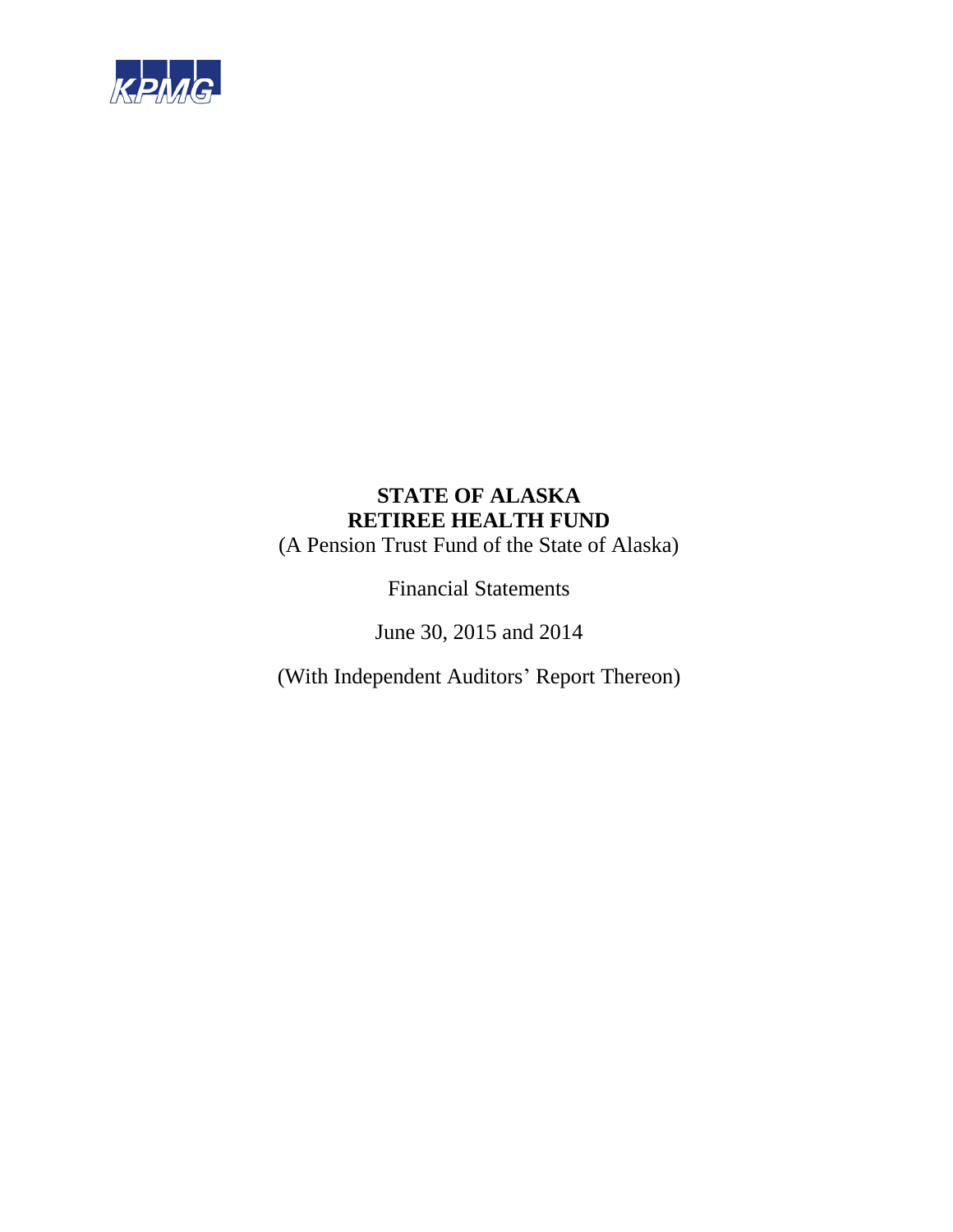

(A Pension Trust Fund of the State of Alaska)

Financial Statements

June 30, 2015 and 2014

(With Independent Auditors' Report Thereon)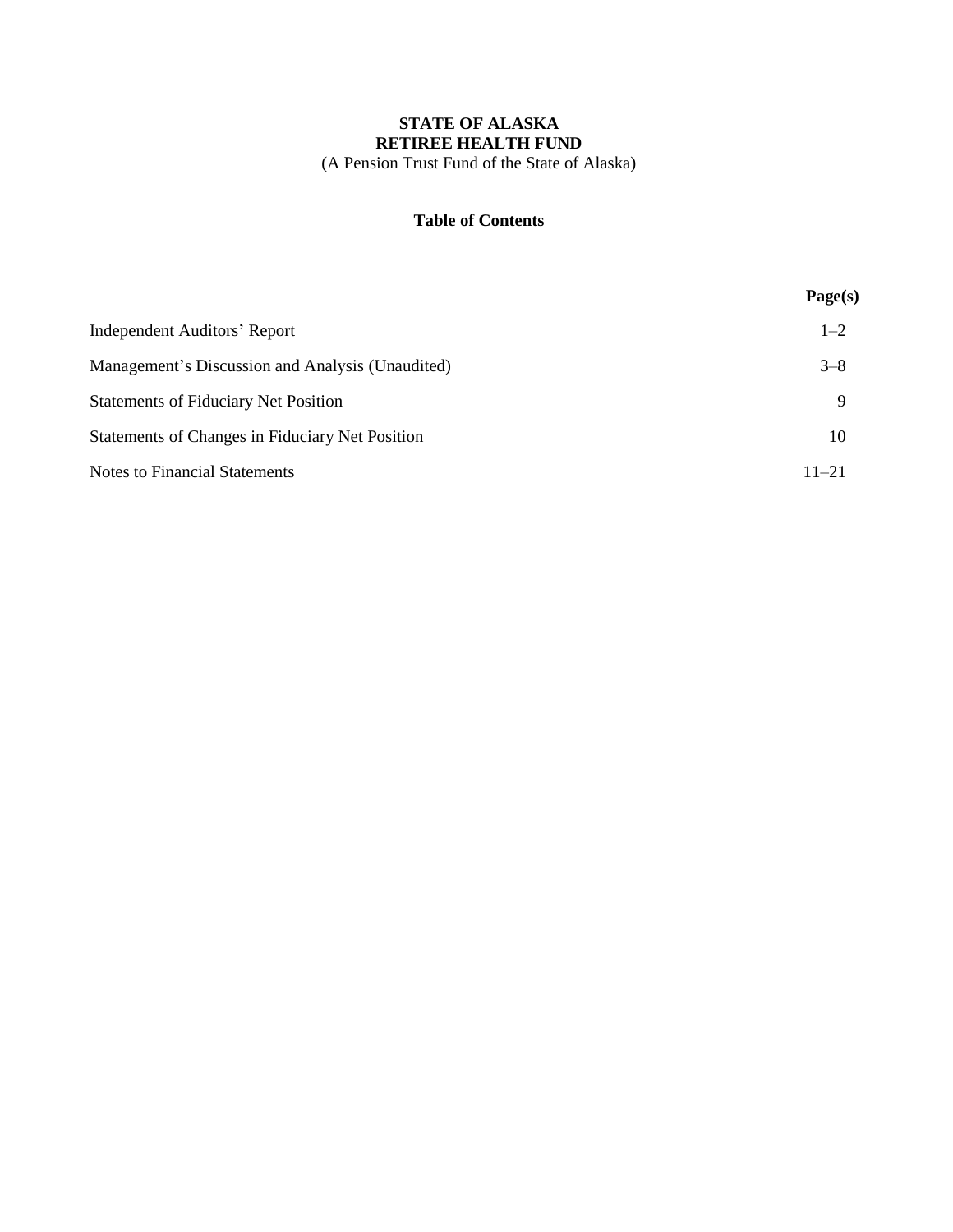(A Pension Trust Fund of the State of Alaska)

## **Table of Contents**

|                                                  | Page(s)   |
|--------------------------------------------------|-----------|
| Independent Auditors' Report                     | $1 - 2$   |
| Management's Discussion and Analysis (Unaudited) | $3 - 8$   |
| <b>Statements of Fiduciary Net Position</b>      | Q         |
| Statements of Changes in Fiduciary Net Position  | 10        |
| <b>Notes to Financial Statements</b>             | $11 - 21$ |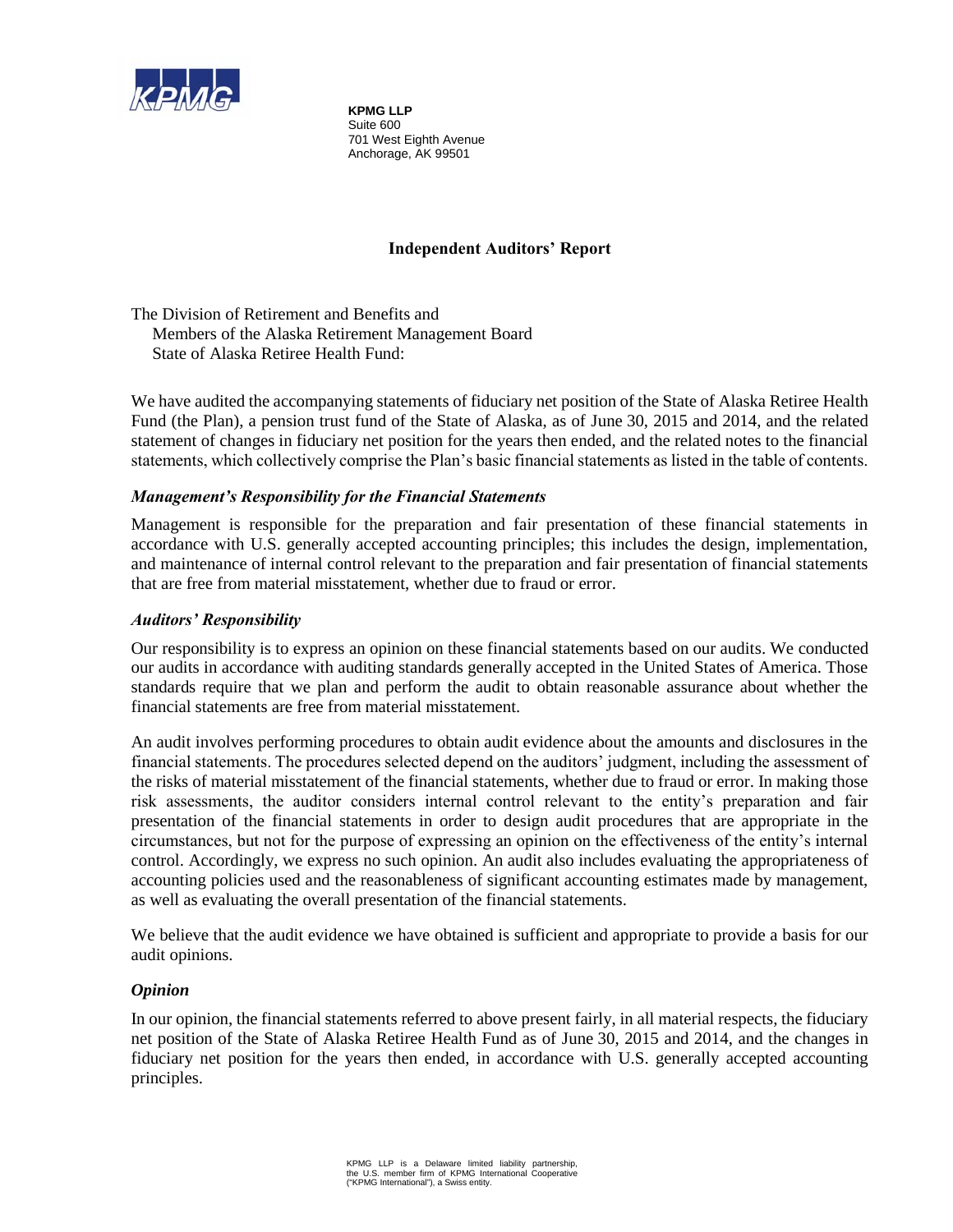

**KPMG LLP**  Suite 600 701 West Eighth Avenue Anchorage, AK 99501

# **Independent Auditors' Report**

The Division of Retirement and Benefits and Members of the Alaska Retirement Management Board State of Alaska Retiree Health Fund:

We have audited the accompanying statements of fiduciary net position of the State of Alaska Retiree Health Fund (the Plan), a pension trust fund of the State of Alaska, as of June 30, 2015 and 2014, and the related statement of changes in fiduciary net position for the years then ended, and the related notes to the financial statements, which collectively comprise the Plan's basic financial statements as listed in the table of contents.

### *Management's Responsibility for the Financial Statements*

Management is responsible for the preparation and fair presentation of these financial statements in accordance with U.S. generally accepted accounting principles; this includes the design, implementation, and maintenance of internal control relevant to the preparation and fair presentation of financial statements that are free from material misstatement, whether due to fraud or error.

### *Auditors' Responsibility*

Our responsibility is to express an opinion on these financial statements based on our audits. We conducted our audits in accordance with auditing standards generally accepted in the United States of America. Those standards require that we plan and perform the audit to obtain reasonable assurance about whether the financial statements are free from material misstatement.

An audit involves performing procedures to obtain audit evidence about the amounts and disclosures in the financial statements. The procedures selected depend on the auditors' judgment, including the assessment of the risks of material misstatement of the financial statements, whether due to fraud or error. In making those risk assessments, the auditor considers internal control relevant to the entity's preparation and fair presentation of the financial statements in order to design audit procedures that are appropriate in the circumstances, but not for the purpose of expressing an opinion on the effectiveness of the entity's internal control. Accordingly, we express no such opinion. An audit also includes evaluating the appropriateness of accounting policies used and the reasonableness of significant accounting estimates made by management, as well as evaluating the overall presentation of the financial statements.

We believe that the audit evidence we have obtained is sufficient and appropriate to provide a basis for our audit opinions.

### *Opinion*

In our opinion, the financial statements referred to above present fairly, in all material respects, the fiduciary net position of the State of Alaska Retiree Health Fund as of June 30, 2015 and 2014, and the changes in fiduciary net position for the years then ended, in accordance with U.S. generally accepted accounting principles.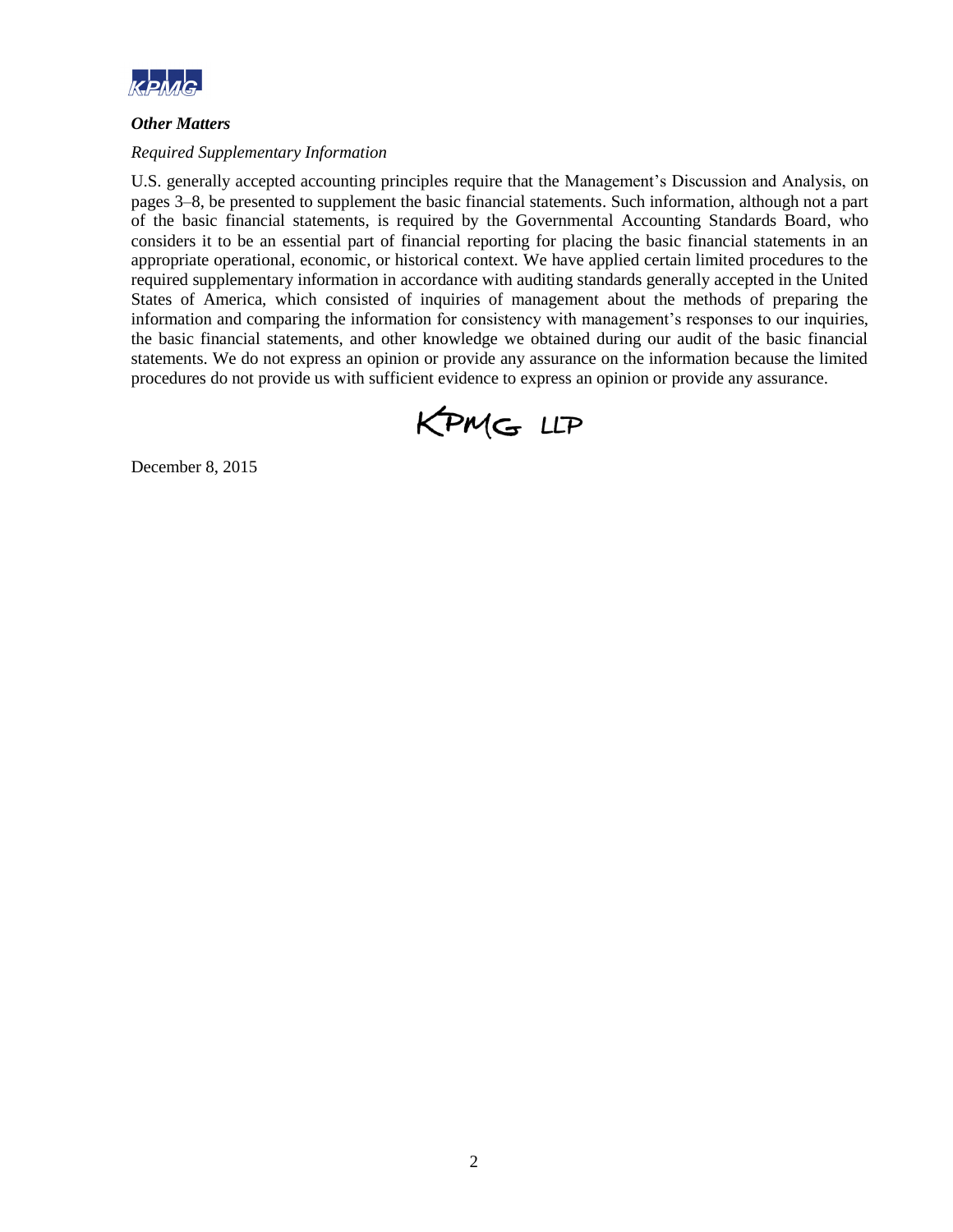

# *Other Matters*

### *Required Supplementary Information*

U.S. generally accepted accounting principles require that the Management's Discussion and Analysis, on pages 3–8, be presented to supplement the basic financial statements. Such information, although not a part of the basic financial statements, is required by the Governmental Accounting Standards Board, who considers it to be an essential part of financial reporting for placing the basic financial statements in an appropriate operational, economic, or historical context. We have applied certain limited procedures to the required supplementary information in accordance with auditing standards generally accepted in the United States of America, which consisted of inquiries of management about the methods of preparing the information and comparing the information for consistency with management's responses to our inquiries, the basic financial statements, and other knowledge we obtained during our audit of the basic financial statements. We do not express an opinion or provide any assurance on the information because the limited procedures do not provide us with sufficient evidence to express an opinion or provide any assurance.



December 8, 2015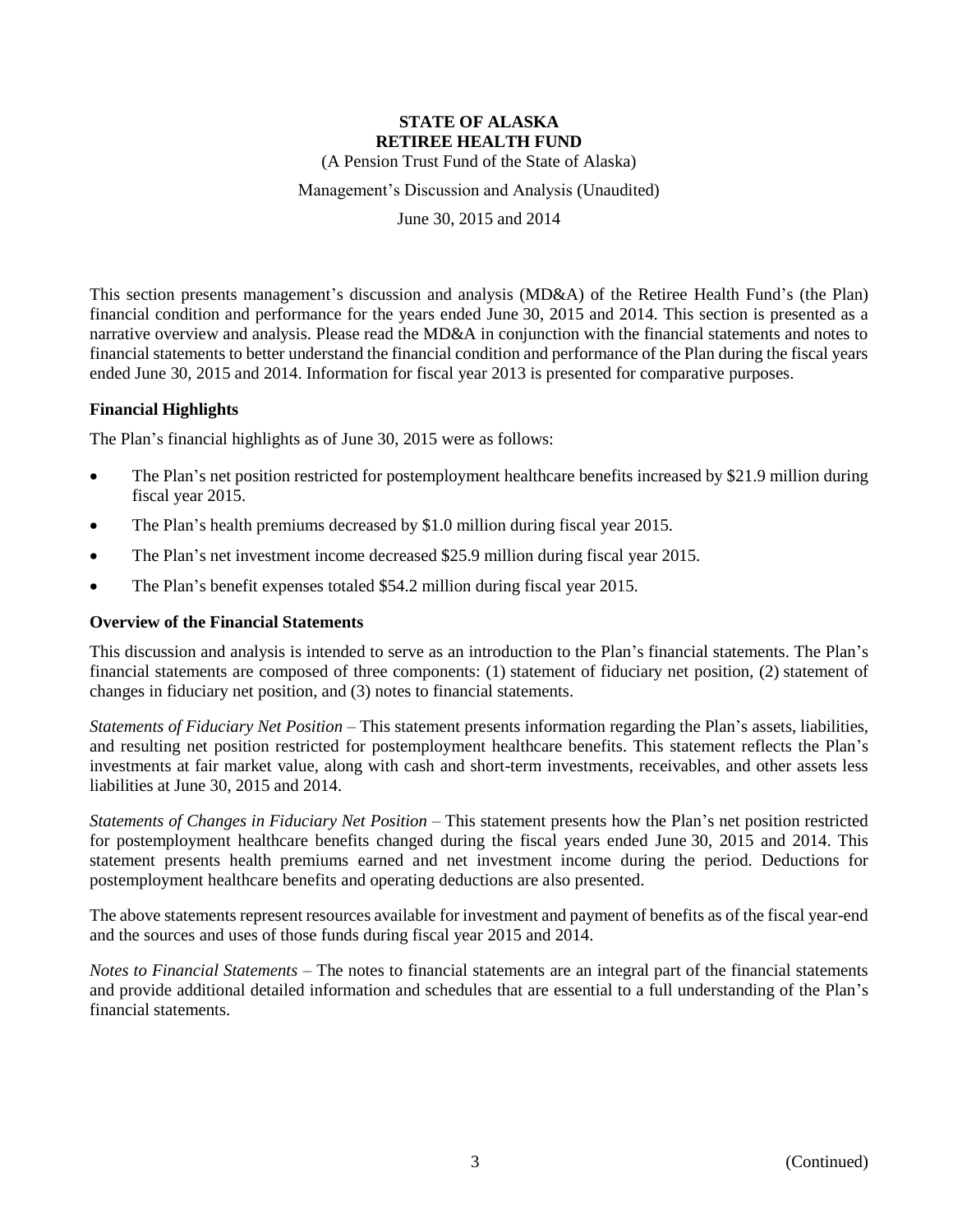(A Pension Trust Fund of the State of Alaska)

Management's Discussion and Analysis (Unaudited)

June 30, 2015 and 2014

This section presents management's discussion and analysis (MD&A) of the Retiree Health Fund's (the Plan) financial condition and performance for the years ended June 30, 2015 and 2014. This section is presented as a narrative overview and analysis. Please read the MD&A in conjunction with the financial statements and notes to financial statements to better understand the financial condition and performance of the Plan during the fiscal years ended June 30, 2015 and 2014. Information for fiscal year 2013 is presented for comparative purposes.

### **Financial Highlights**

The Plan's financial highlights as of June 30, 2015 were as follows:

- The Plan's net position restricted for postemployment healthcare benefits increased by \$21.9 million during fiscal year 2015.
- The Plan's health premiums decreased by \$1.0 million during fiscal year 2015.
- The Plan's net investment income decreased \$25.9 million during fiscal year 2015.
- The Plan's benefit expenses totaled \$54.2 million during fiscal year 2015.

#### **Overview of the Financial Statements**

This discussion and analysis is intended to serve as an introduction to the Plan's financial statements. The Plan's financial statements are composed of three components: (1) statement of fiduciary net position, (2) statement of changes in fiduciary net position, and (3) notes to financial statements.

*Statements of Fiduciary Net Position* – This statement presents information regarding the Plan's assets, liabilities, and resulting net position restricted for postemployment healthcare benefits. This statement reflects the Plan's investments at fair market value, along with cash and short-term investments, receivables, and other assets less liabilities at June 30, 2015 and 2014.

*Statements of Changes in Fiduciary Net Position* – This statement presents how the Plan's net position restricted for postemployment healthcare benefits changed during the fiscal years ended June 30, 2015 and 2014. This statement presents health premiums earned and net investment income during the period. Deductions for postemployment healthcare benefits and operating deductions are also presented.

The above statements represent resources available for investment and payment of benefits as of the fiscal year-end and the sources and uses of those funds during fiscal year 2015 and 2014.

*Notes to Financial Statements* – The notes to financial statements are an integral part of the financial statements and provide additional detailed information and schedules that are essential to a full understanding of the Plan's financial statements.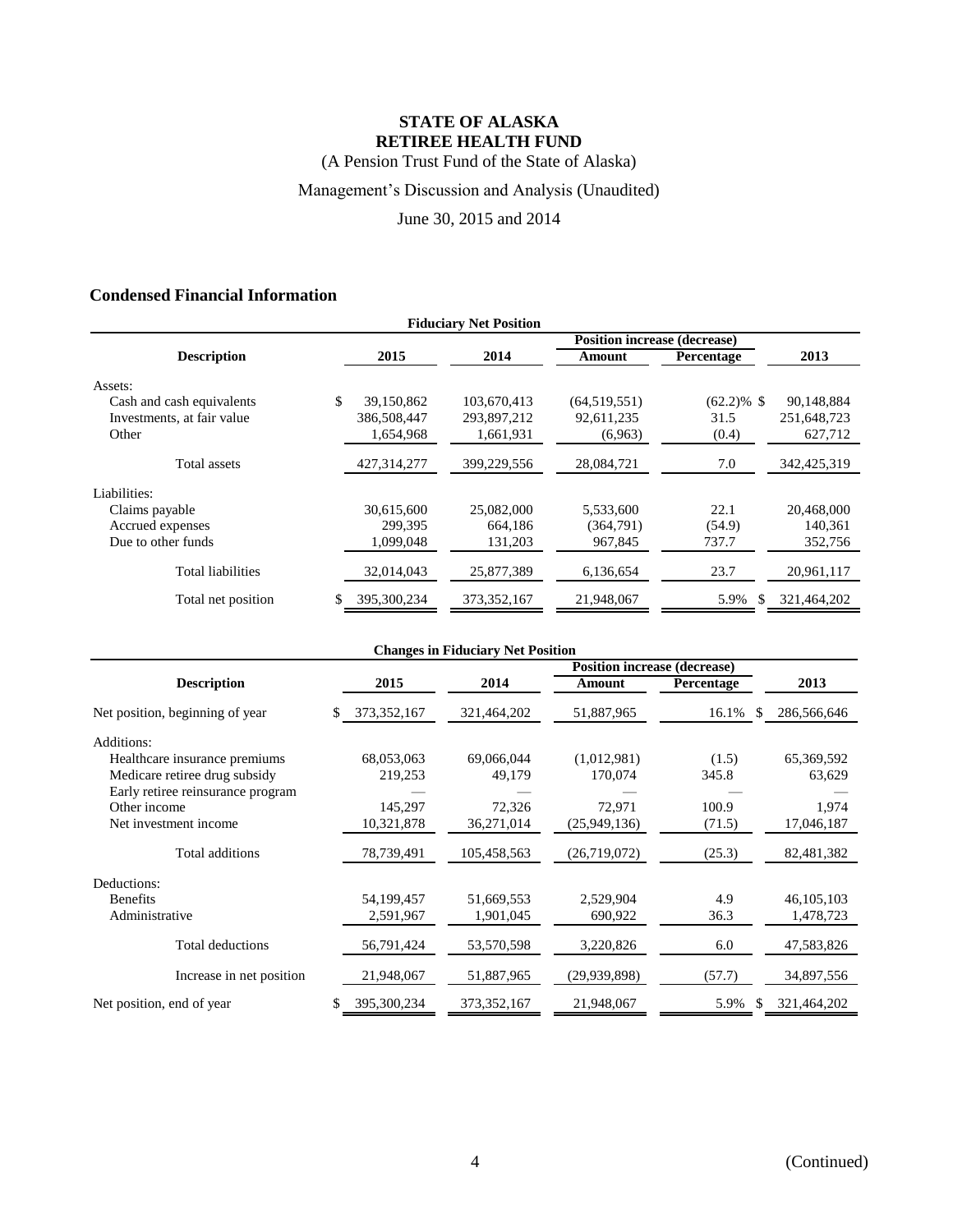(A Pension Trust Fund of the State of Alaska)

# Management's Discussion and Analysis (Unaudited)

June 30, 2015 and 2014

# **Condensed Financial Information**

| <b>Fiduciary Net Position</b>       |    |             |               |                |               |               |  |  |
|-------------------------------------|----|-------------|---------------|----------------|---------------|---------------|--|--|
| <b>Position increase (decrease)</b> |    |             |               |                |               |               |  |  |
| <b>Description</b>                  |    | 2015        | 2014          | Amount         | Percentage    | 2013          |  |  |
| Assets:                             |    |             |               |                |               |               |  |  |
| Cash and cash equivalents           | \$ | 39,150,862  | 103,670,413   | (64, 519, 551) | $(62.2)\%$ \$ | 90,148,884    |  |  |
| Investments, at fair value          |    | 386,508,447 | 293,897,212   | 92,611,235     | 31.5          | 251,648,723   |  |  |
| Other                               |    | 1,654,968   | 1,661,931     | (6,963)        | (0.4)         | 627,712       |  |  |
| Total assets                        |    | 427,314,277 | 399,229,556   | 28,084,721     | 7.0           | 342, 425, 319 |  |  |
| Liabilities:                        |    |             |               |                |               |               |  |  |
| Claims payable                      |    | 30,615,600  | 25,082,000    | 5,533,600      | 22.1          | 20,468,000    |  |  |
| Accrued expenses                    |    | 299,395     | 664,186       | (364,791)      | (54.9)        | 140,361       |  |  |
| Due to other funds                  |    | 1.099.048   | 131,203       | 967.845        | 737.7         | 352,756       |  |  |
| <b>Total liabilities</b>            |    | 32,014,043  | 25,877,389    | 6,136,654      | 23.7          | 20,961,117    |  |  |
| Total net position                  |    | 395,300,234 | 373, 352, 167 | 21,948,067     | 5.9%<br>\$    | 321,464,202   |  |  |

| <b>Changes in Fiduciary Net Position</b> |                                     |               |                |            |              |  |  |
|------------------------------------------|-------------------------------------|---------------|----------------|------------|--------------|--|--|
|                                          | <b>Position increase (decrease)</b> |               |                |            |              |  |  |
| <b>Description</b>                       | 2015                                | 2014          | <b>Amount</b>  | Percentage | 2013         |  |  |
| Net position, beginning of year          | 373, 352, 167                       | 321,464,202   | 51,887,965     | 16.1%<br>S | 286,566,646  |  |  |
| Additions:                               |                                     |               |                |            |              |  |  |
| Healthcare insurance premiums            | 68,053,063                          | 69,066,044    | (1,012,981)    | (1.5)      | 65,369,592   |  |  |
| Medicare retiree drug subsidy            | 219,253                             | 49,179        | 170,074        | 345.8      | 63,629       |  |  |
| Early retiree reinsurance program        |                                     |               |                |            |              |  |  |
| Other income                             | 145,297                             | 72,326        | 72,971         | 100.9      | 1,974        |  |  |
| Net investment income                    | 10,321,878                          | 36,271,014    | (25,949,136)   | (71.5)     | 17,046,187   |  |  |
| Total additions                          | 78,739,491                          | 105,458,563   | (26,719,072)   | (25.3)     | 82,481,382   |  |  |
| Deductions:                              |                                     |               |                |            |              |  |  |
| <b>Benefits</b>                          | 54,199,457                          | 51,669,553    | 2,529,904      | 4.9        | 46, 105, 103 |  |  |
| Administrative                           | 2,591,967                           | 1,901,045     | 690,922        | 36.3       | 1,478,723    |  |  |
| Total deductions                         | 56,791,424                          | 53,570,598    | 3,220,826      | 6.0        | 47,583,826   |  |  |
| Increase in net position                 | 21,948,067                          | 51,887,965    | (29, 939, 898) | (57.7)     | 34,897,556   |  |  |
| Net position, end of year                | 395,300,234                         | 373, 352, 167 | 21,948,067     | 5.9%<br>S  | 321,464,202  |  |  |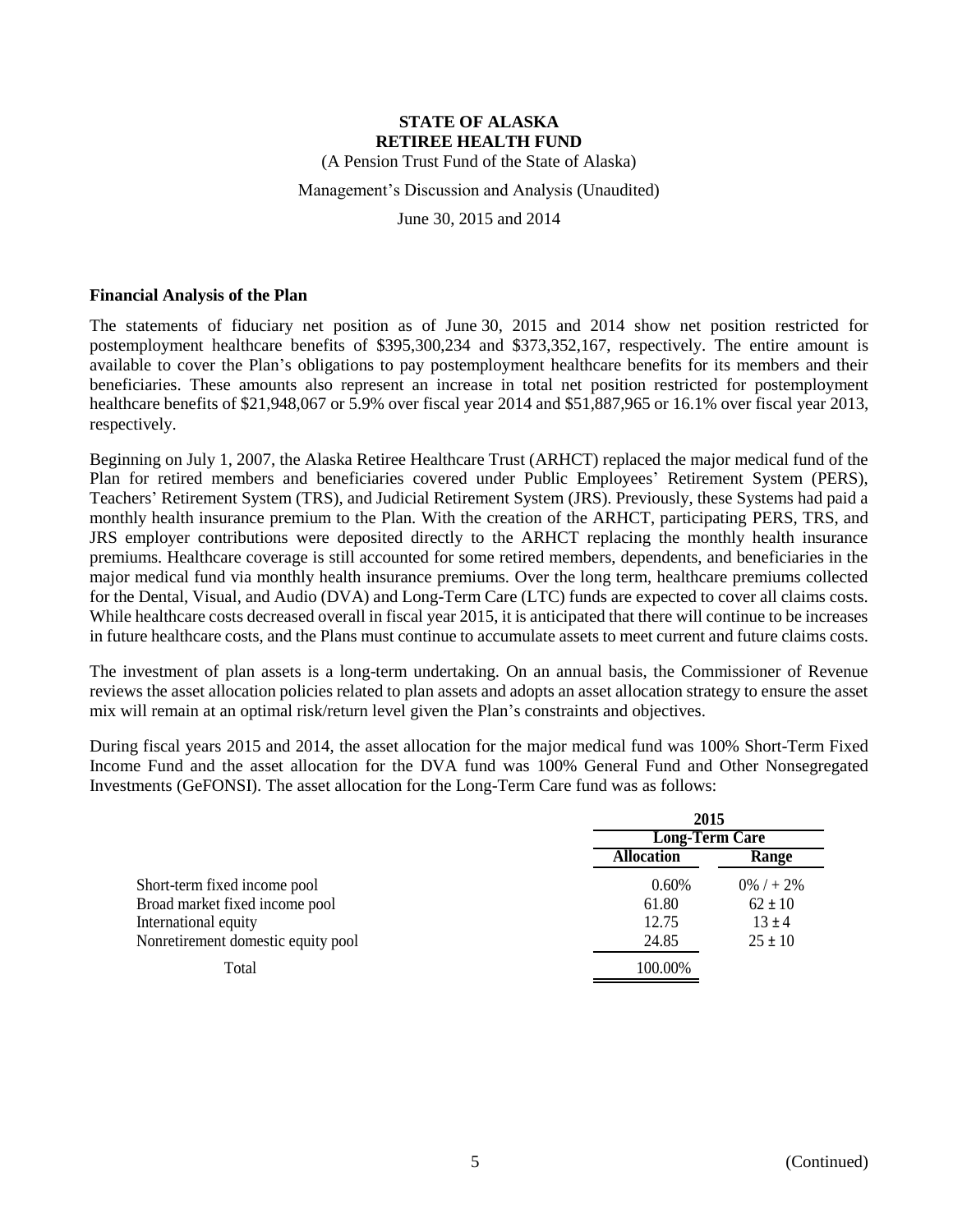(A Pension Trust Fund of the State of Alaska)

Management's Discussion and Analysis (Unaudited)

June 30, 2015 and 2014

#### **Financial Analysis of the Plan**

The statements of fiduciary net position as of June 30, 2015 and 2014 show net position restricted for postemployment healthcare benefits of \$395,300,234 and \$373,352,167, respectively. The entire amount is available to cover the Plan's obligations to pay postemployment healthcare benefits for its members and their beneficiaries. These amounts also represent an increase in total net position restricted for postemployment healthcare benefits of \$21,948,067 or 5.9% over fiscal year 2014 and \$51,887,965 or 16.1% over fiscal year 2013, respectively.

Beginning on July 1, 2007, the Alaska Retiree Healthcare Trust (ARHCT) replaced the major medical fund of the Plan for retired members and beneficiaries covered under Public Employees' Retirement System (PERS), Teachers' Retirement System (TRS), and Judicial Retirement System (JRS). Previously, these Systems had paid a monthly health insurance premium to the Plan. With the creation of the ARHCT, participating PERS, TRS, and JRS employer contributions were deposited directly to the ARHCT replacing the monthly health insurance premiums. Healthcare coverage is still accounted for some retired members, dependents, and beneficiaries in the major medical fund via monthly health insurance premiums. Over the long term, healthcare premiums collected for the Dental, Visual, and Audio (DVA) and Long-Term Care (LTC) funds are expected to cover all claims costs. While healthcare costs decreased overall in fiscal year 2015, it is anticipated that there will continue to be increases in future healthcare costs, and the Plans must continue to accumulate assets to meet current and future claims costs.

The investment of plan assets is a long-term undertaking. On an annual basis, the Commissioner of Revenue reviews the asset allocation policies related to plan assets and adopts an asset allocation strategy to ensure the asset mix will remain at an optimal risk/return level given the Plan's constraints and objectives.

During fiscal years 2015 and 2014, the asset allocation for the major medical fund was 100% Short-Term Fixed Income Fund and the asset allocation for the DVA fund was 100% General Fund and Other Nonsegregated Investments (GeFONSI). The asset allocation for the Long-Term Care fund was as follows:

|                                    | 2015<br><b>Long-Term Care</b> |               |  |
|------------------------------------|-------------------------------|---------------|--|
|                                    |                               |               |  |
|                                    | <b>Allocation</b>             | Range         |  |
| Short-term fixed income pool       | 0.60%                         | $0\% / + 2\%$ |  |
| Broad market fixed income pool     | 61.80                         | $62 \pm 10$   |  |
| International equity               | 12.75                         | $13 \pm 4$    |  |
| Nonretirement domestic equity pool | 24.85                         | $25 \pm 10$   |  |
| Total                              | 100.00%                       |               |  |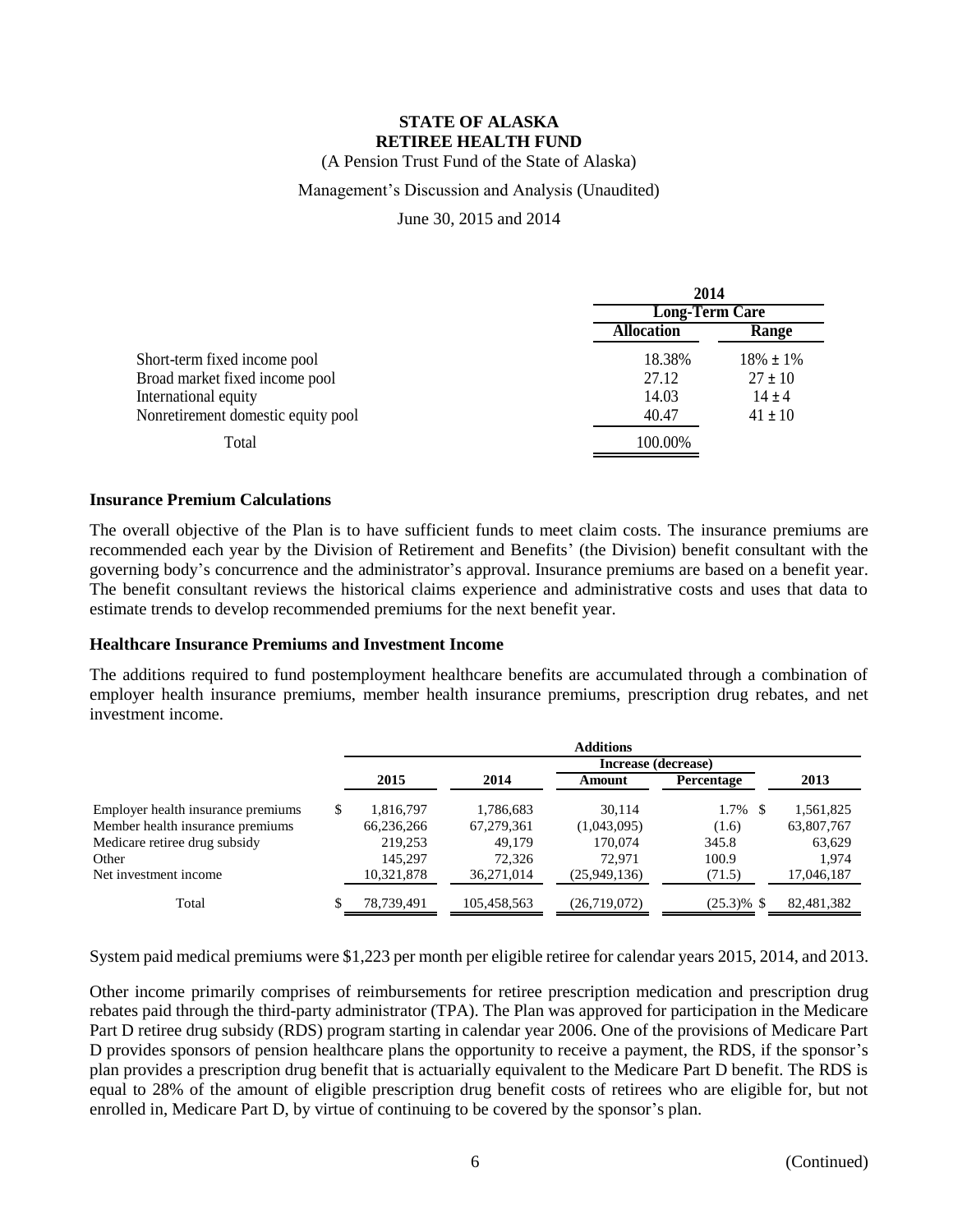(A Pension Trust Fund of the State of Alaska)

#### Management's Discussion and Analysis (Unaudited)

June 30, 2015 and 2014

|                                    | 2014                  |                |  |
|------------------------------------|-----------------------|----------------|--|
|                                    | <b>Long-Term Care</b> |                |  |
|                                    | <b>Allocation</b>     | Range          |  |
| Short-term fixed income pool       | 18.38%                | $18\% \pm 1\%$ |  |
| Broad market fixed income pool     | 27.12                 | $27 \pm 10$    |  |
| International equity               | 14.03                 | $14 \pm 4$     |  |
| Nonretirement domestic equity pool | 40.47                 | $41 \pm 10$    |  |
| Total                              | 100.00%               |                |  |

### **Insurance Premium Calculations**

The overall objective of the Plan is to have sufficient funds to meet claim costs. The insurance premiums are recommended each year by the Division of Retirement and Benefits' (the Division) benefit consultant with the governing body's concurrence and the administrator's approval. Insurance premiums are based on a benefit year. The benefit consultant reviews the historical claims experience and administrative costs and uses that data to estimate trends to develop recommended premiums for the next benefit year.

#### **Healthcare Insurance Premiums and Investment Income**

The additions required to fund postemployment healthcare benefits are accumulated through a combination of employer health insurance premiums, member health insurance premiums, prescription drug rebates, and net investment income.

|                                    | <b>Additions</b> |            |             |                     |               |            |
|------------------------------------|------------------|------------|-------------|---------------------|---------------|------------|
|                                    |                  |            |             | Increase (decrease) |               |            |
|                                    |                  | 2015       | 2014        | Amount              | Percentage    | 2013       |
| Employer health insurance premiums | \$               | 1,816,797  | 1,786,683   | 30.114              | 1.7%<br>-S    | 1,561,825  |
| Member health insurance premiums   |                  | 66,236,266 | 67,279,361  | (1,043,095)         | (1.6)         | 63,807,767 |
| Medicare retiree drug subsidy      |                  | 219,253    | 49.179      | 170,074             | 345.8         | 63,629     |
| Other                              |                  | 145.297    | 72,326      | 72,971              | 100.9         | 1.974      |
| Net investment income              |                  | 10,321,878 | 36.271.014  | (25,949,136)        | (71.5)        | 17,046,187 |
| Total                              |                  | 78,739,491 | 105,458,563 | (26,719,072)        | $(25.3)\%$ \$ | 82,481,382 |

System paid medical premiums were \$1,223 per month per eligible retiree for calendar years 2015, 2014, and 2013.

Other income primarily comprises of reimbursements for retiree prescription medication and prescription drug rebates paid through the third-party administrator (TPA). The Plan was approved for participation in the Medicare Part D retiree drug subsidy (RDS) program starting in calendar year 2006. One of the provisions of Medicare Part D provides sponsors of pension healthcare plans the opportunity to receive a payment, the RDS, if the sponsor's plan provides a prescription drug benefit that is actuarially equivalent to the Medicare Part D benefit. The RDS is equal to 28% of the amount of eligible prescription drug benefit costs of retirees who are eligible for, but not enrolled in, Medicare Part D, by virtue of continuing to be covered by the sponsor's plan.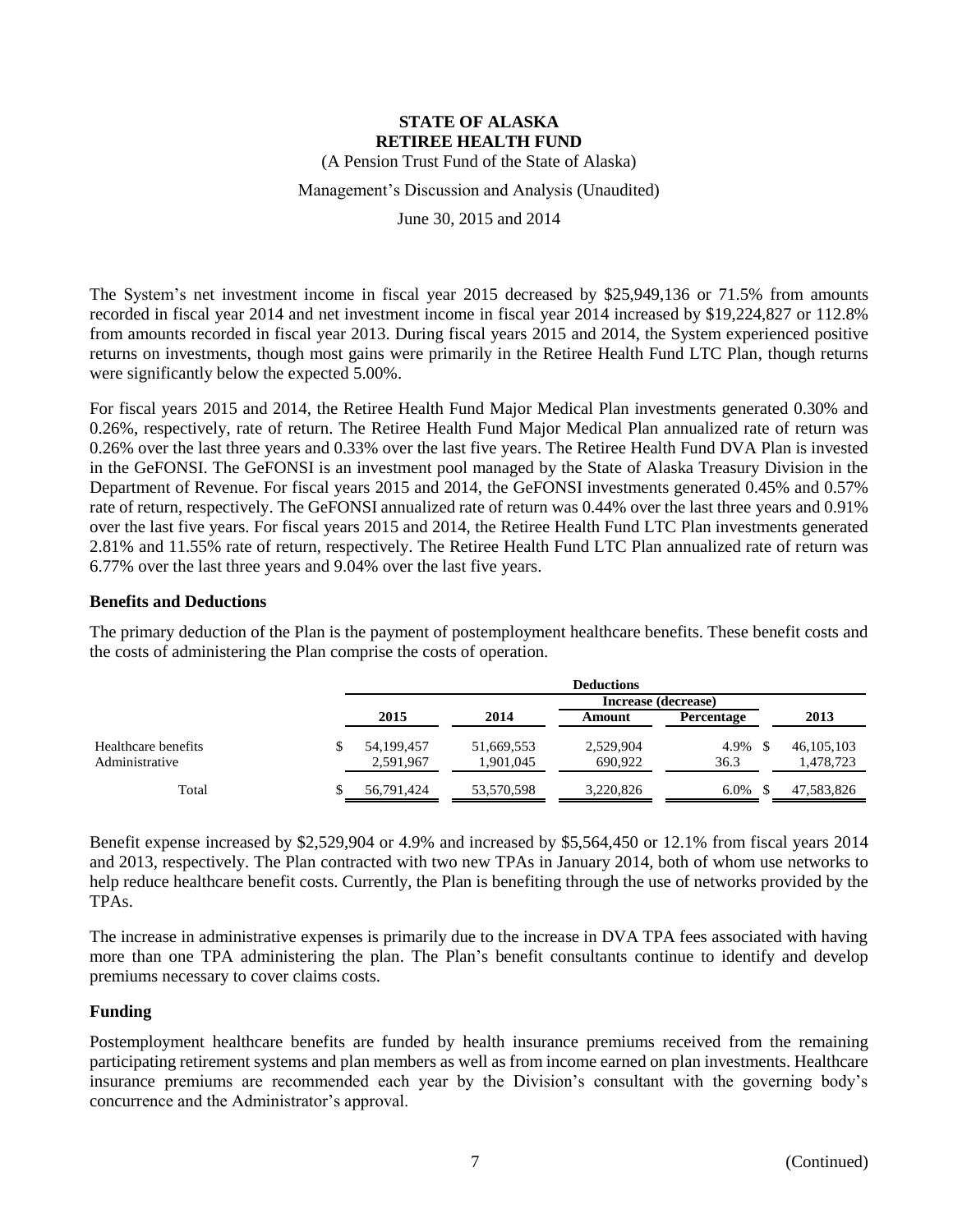(A Pension Trust Fund of the State of Alaska)

Management's Discussion and Analysis (Unaudited)

June 30, 2015 and 2014

The System's net investment income in fiscal year 2015 decreased by \$25,949,136 or 71.5% from amounts recorded in fiscal year 2014 and net investment income in fiscal year 2014 increased by \$19,224,827 or 112.8% from amounts recorded in fiscal year 2013. During fiscal years 2015 and 2014, the System experienced positive returns on investments, though most gains were primarily in the Retiree Health Fund LTC Plan, though returns were significantly below the expected 5.00%.

For fiscal years 2015 and 2014, the Retiree Health Fund Major Medical Plan investments generated 0.30% and 0.26%, respectively, rate of return. The Retiree Health Fund Major Medical Plan annualized rate of return was 0.26% over the last three years and 0.33% over the last five years. The Retiree Health Fund DVA Plan is invested in the GeFONSI. The GeFONSI is an investment pool managed by the State of Alaska Treasury Division in the Department of Revenue. For fiscal years 2015 and 2014, the GeFONSI investments generated 0.45% and 0.57% rate of return, respectively. The GeFONSI annualized rate of return was 0.44% over the last three years and 0.91% over the last five years. For fiscal years 2015 and 2014, the Retiree Health Fund LTC Plan investments generated 2.81% and 11.55% rate of return, respectively. The Retiree Health Fund LTC Plan annualized rate of return was 6.77% over the last three years and 9.04% over the last five years.

### **Benefits and Deductions**

The primary deduction of the Plan is the payment of postemployment healthcare benefits. These benefit costs and the costs of administering the Plan comprise the costs of operation.

|                     | <b>Deductions</b> |            |                     |                   |              |  |
|---------------------|-------------------|------------|---------------------|-------------------|--------------|--|
|                     |                   |            | Increase (decrease) |                   |              |  |
|                     | 2015              | 2014       | Amount              | <b>Percentage</b> | 2013         |  |
| Healthcare benefits | 54, 199, 457      | 51,669,553 | 2,529,904           | 4.9%<br>- \$      | 46, 105, 103 |  |
| Administrative      | 2,591,967         | 1,901,045  | 690.922             | 36.3              | 1,478,723    |  |
| Total               | 56.791.424        | 53,570,598 | 3.220.826           | $6.0\%$           | 47,583,826   |  |

Benefit expense increased by \$2,529,904 or 4.9% and increased by \$5,564,450 or 12.1% from fiscal years 2014 and 2013, respectively. The Plan contracted with two new TPAs in January 2014, both of whom use networks to help reduce healthcare benefit costs. Currently, the Plan is benefiting through the use of networks provided by the TPAs.

The increase in administrative expenses is primarily due to the increase in DVA TPA fees associated with having more than one TPA administering the plan. The Plan's benefit consultants continue to identify and develop premiums necessary to cover claims costs.

### **Funding**

Postemployment healthcare benefits are funded by health insurance premiums received from the remaining participating retirement systems and plan members as well as from income earned on plan investments. Healthcare insurance premiums are recommended each year by the Division's consultant with the governing body's concurrence and the Administrator's approval.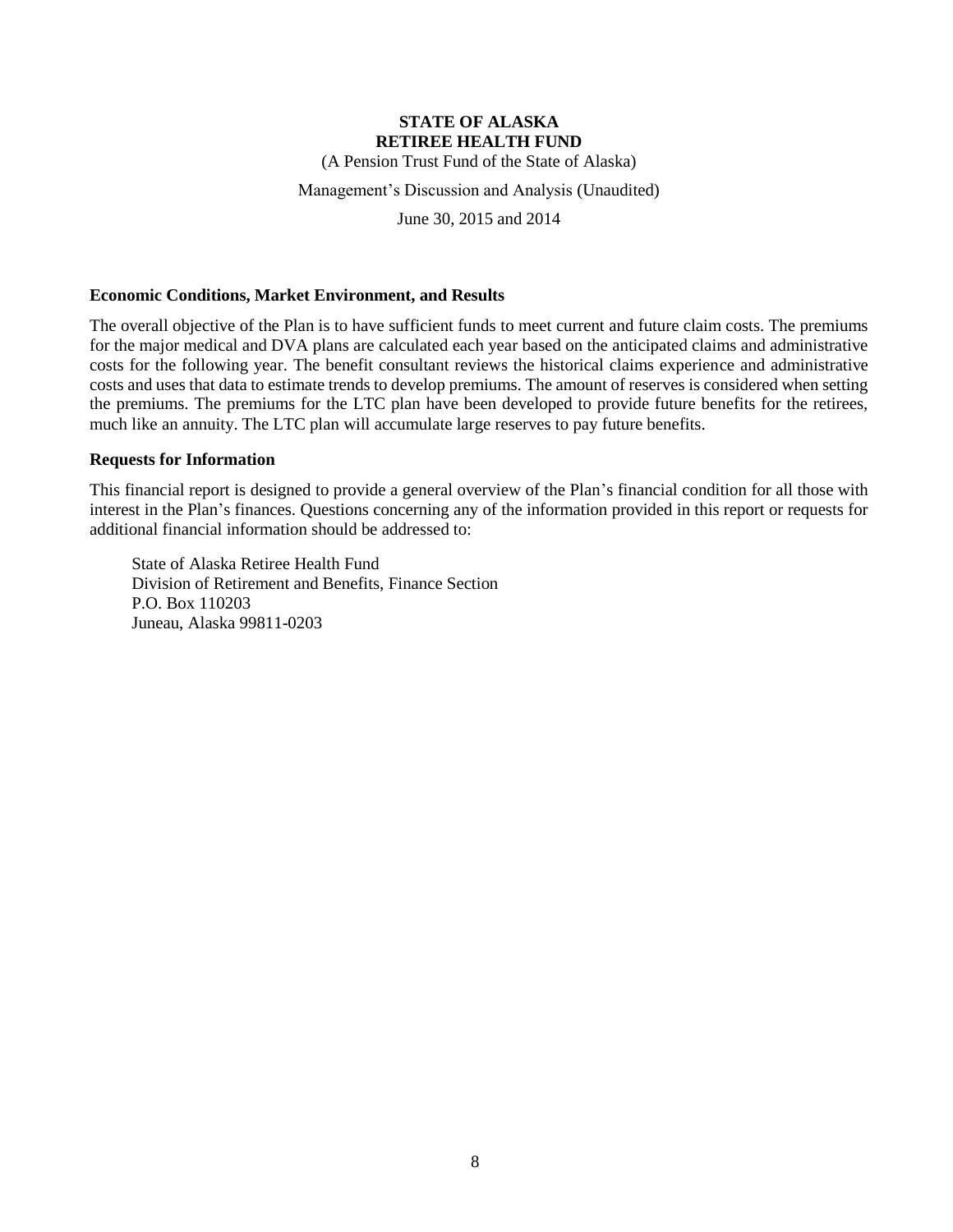(A Pension Trust Fund of the State of Alaska)

Management's Discussion and Analysis (Unaudited)

June 30, 2015 and 2014

### **Economic Conditions, Market Environment, and Results**

The overall objective of the Plan is to have sufficient funds to meet current and future claim costs. The premiums for the major medical and DVA plans are calculated each year based on the anticipated claims and administrative costs for the following year. The benefit consultant reviews the historical claims experience and administrative costs and uses that data to estimate trends to develop premiums. The amount of reserves is considered when setting the premiums. The premiums for the LTC plan have been developed to provide future benefits for the retirees, much like an annuity. The LTC plan will accumulate large reserves to pay future benefits.

#### **Requests for Information**

This financial report is designed to provide a general overview of the Plan's financial condition for all those with interest in the Plan's finances. Questions concerning any of the information provided in this report or requests for additional financial information should be addressed to:

State of Alaska Retiree Health Fund Division of Retirement and Benefits, Finance Section P.O. Box 110203 Juneau, Alaska 99811-0203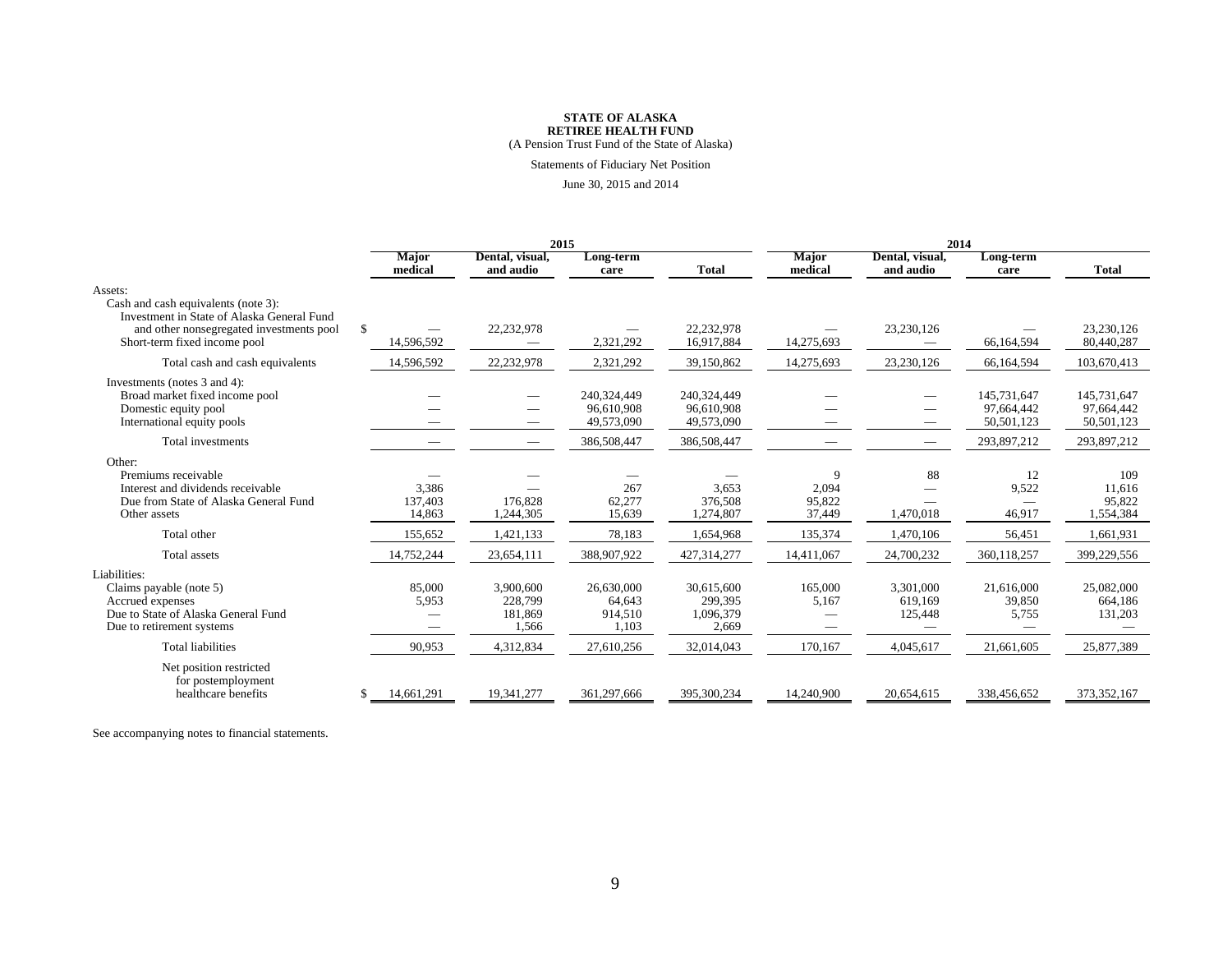(A Pension Trust Fund of the State of Alaska)

Statements of Fiduciary Net Position

#### June 30, 2015 and 2014

|                                                                                                                                          | 2015                                 |                                          |                                          |                                             | 2014                           |                                 |                                         |                                         |
|------------------------------------------------------------------------------------------------------------------------------------------|--------------------------------------|------------------------------------------|------------------------------------------|---------------------------------------------|--------------------------------|---------------------------------|-----------------------------------------|-----------------------------------------|
|                                                                                                                                          | <b>Major</b><br>medical              | Dental, visual,<br>and audio             | Long-term<br>care                        | <b>Total</b>                                | <b>Major</b><br>medical        | Dental, visual,<br>and audio    | Long-term<br>care                       | <b>Total</b>                            |
| Assets:<br>Cash and cash equivalents (note 3):<br>Investment in State of Alaska General Fund<br>and other nonsegregated investments pool | $\mathbb{S}$                         | 22,232,978                               |                                          | 22,232,978                                  |                                | 23,230,126                      |                                         | 23,230,126                              |
| Short-term fixed income pool                                                                                                             | 14,596,592                           |                                          | 2,321,292                                | 16,917,884                                  | 14,275,693                     |                                 | 66,164,594                              | 80,440,287                              |
| Total cash and cash equivalents                                                                                                          | 14,596,592                           | 22,232,978                               | 2,321,292                                | 39,150,862                                  | 14,275,693                     | 23,230,126                      | 66,164,594                              | 103,670,413                             |
| Investments (notes 3 and 4):<br>Broad market fixed income pool<br>Domestic equity pool<br>International equity pools                     |                                      | $\overline{\phantom{a}}$                 | 240.324.449<br>96.610.908<br>49,573,090  | 240.324.449<br>96,610,908<br>49,573,090     |                                |                                 | 145.731.647<br>97.664.442<br>50,501,123 | 145,731,647<br>97.664.442<br>50,501,123 |
| Total investments                                                                                                                        |                                      |                                          | 386,508,447                              | 386,508,447                                 |                                |                                 | 293,897,212                             | 293,897,212                             |
| Other:<br>Premiums receivable<br>Interest and dividends receivable<br>Due from State of Alaska General Fund<br>Other assets              | 3,386<br>137,403<br>14,863           | 176,828<br>1,244,305                     | 267<br>62,277<br>15,639                  | 3,653<br>376,508<br>1,274,807               | 9<br>2,094<br>95,822<br>37,449 | 88<br>1,470,018                 | 12<br>9,522<br>46,917                   | 109<br>11,616<br>95.822<br>1,554,384    |
| Total other                                                                                                                              | 155,652                              | 1,421,133                                | 78,183                                   | 1,654,968                                   | 135,374                        | 1,470,106                       | 56,451                                  | 1,661,931                               |
| Total assets                                                                                                                             | 14,752,244                           | 23,654,111                               | 388,907,922                              | 427,314,277                                 | 14.411.067                     | 24,700,232                      | 360,118,257                             | 399,229,556                             |
| Liabilities:<br>Claims payable (note 5)<br>Accrued expenses<br>Due to State of Alaska General Fund<br>Due to retirement systems          | 85,000<br>5,953<br>$\hspace{0.05cm}$ | 3,900,600<br>228,799<br>181,869<br>1,566 | 26,630,000<br>64,643<br>914,510<br>1,103 | 30,615,600<br>299,395<br>1,096,379<br>2,669 | 165,000<br>5,167<br>—          | 3,301,000<br>619,169<br>125,448 | 21,616,000<br>39,850<br>5,755           | 25,082,000<br>664,186<br>131,203        |
| <b>Total liabilities</b>                                                                                                                 | 90,953                               | 4,312,834                                | 27,610,256                               | 32,014,043                                  | 170,167                        | 4,045,617                       | 21,661,605                              | 25,877,389                              |
| Net position restricted<br>for postemployment<br>healthcare benefits                                                                     | 14,661,291<br>\$.                    | 19,341,277                               | 361,297,666                              | 395,300,234                                 | 14,240,900                     | 20,654,615                      | 338,456,652                             | 373, 352, 167                           |

See accompanying notes to financial statements.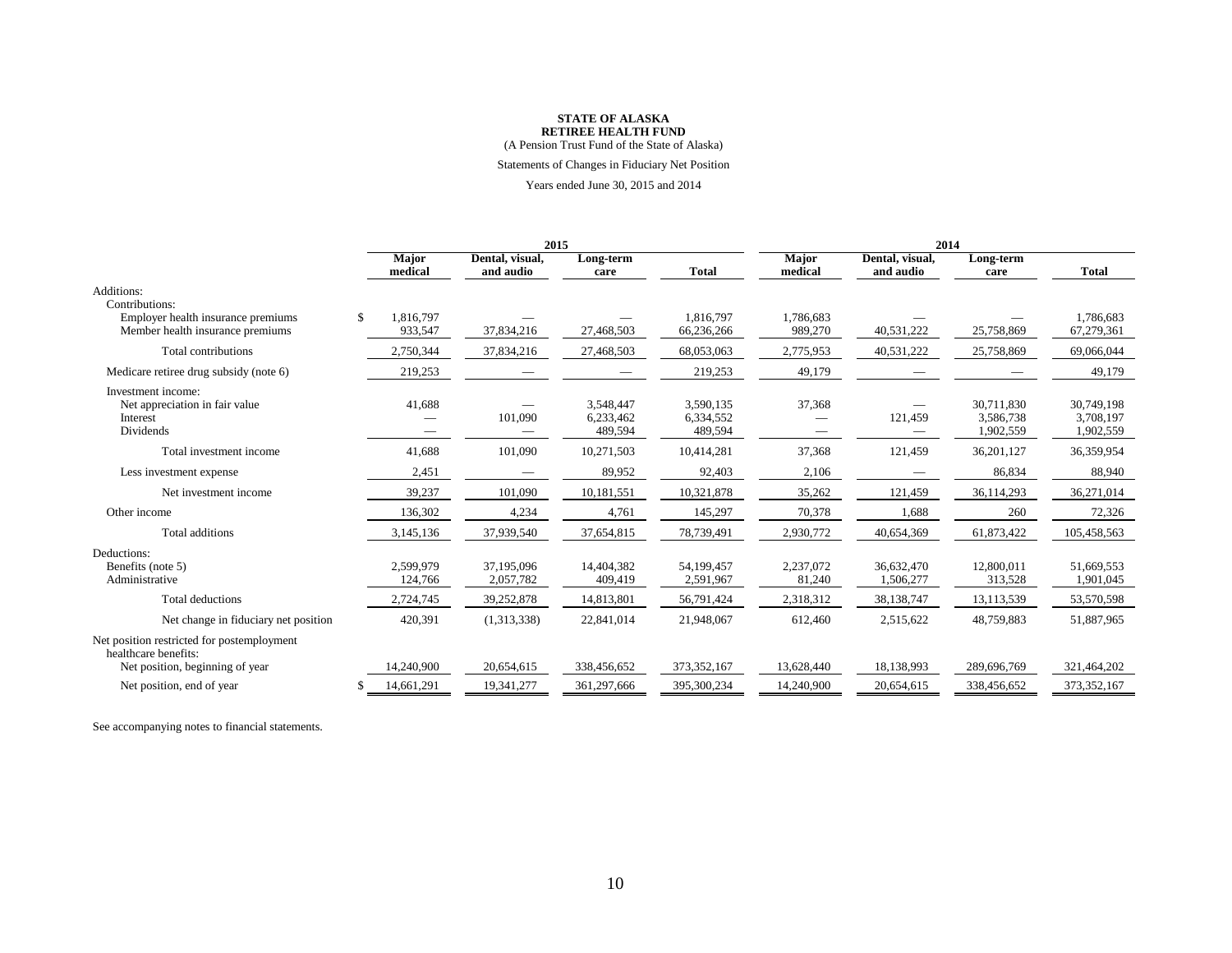(A Pension Trust Fund of the State of Alaska)

#### Statements of Changes in Fiduciary Net Position

#### Years ended June 30, 2015 and 2014

|                                                                                                       | 2015          |                         |                              |                                   | 2014                              |                                              |                              |                                      |                                      |
|-------------------------------------------------------------------------------------------------------|---------------|-------------------------|------------------------------|-----------------------------------|-----------------------------------|----------------------------------------------|------------------------------|--------------------------------------|--------------------------------------|
|                                                                                                       |               | <b>Major</b><br>medical | Dental, visual,<br>and audio | Long-term<br>care                 | <b>Total</b>                      | <b>Major</b><br>medical                      | Dental, visual,<br>and audio | Long-term<br>care                    | <b>Total</b>                         |
| Additions:<br>Contributions:                                                                          |               |                         |                              |                                   |                                   |                                              |                              |                                      |                                      |
| Employer health insurance premiums<br>Member health insurance premiums                                | <sup>\$</sup> | 1.816.797<br>933,547    | 37.834.216                   | 27,468,503                        | 1.816.797<br>66,236,266           | 1.786.683<br>989,270                         | 40.531.222                   | 25,758,869                           | 1.786.683<br>67,279,361              |
| Total contributions                                                                                   |               | 2,750,344               | 37,834,216                   | 27,468,503                        | 68,053,063                        | 2,775,953                                    | 40,531,222                   | 25,758,869                           | 69,066,044                           |
| Medicare retiree drug subsidy (note 6)                                                                |               | 219,253                 |                              |                                   | 219,253                           | 49,179                                       |                              |                                      | 49,179                               |
| Investment income:<br>Net appreciation in fair value<br>Interest<br>Dividends                         |               | 41,688                  | 101,090                      | 3,548,447<br>6,233,462<br>489,594 | 3.590.135<br>6,334,552<br>489,594 | 37,368<br>$\overline{\phantom{0}}$<br>$\sim$ | 121,459<br>$\frac{1}{2}$     | 30,711,830<br>3,586,738<br>1,902,559 | 30,749,198<br>3.708.197<br>1,902,559 |
| Total investment income                                                                               |               | 41.688                  | 101,090                      | 10,271,503                        | 10,414,281                        | 37,368                                       | 121,459                      | 36,201,127                           | 36,359,954                           |
| Less investment expense                                                                               |               | 2,451                   |                              | 89,952                            | 92,403                            | 2,106                                        |                              | 86,834                               | 88,940                               |
| Net investment income                                                                                 |               | 39,237                  | 101,090                      | 10,181,551                        | 10,321,878                        | 35,262                                       | 121,459                      | 36,114,293                           | 36,271,014                           |
| Other income                                                                                          |               | 136,302                 | 4,234                        | 4,761                             | 145,297                           | 70,378                                       | 1,688                        | 260                                  | 72,326                               |
| Total additions                                                                                       |               | 3,145,136               | 37,939,540                   | 37,654,815                        | 78,739,491                        | 2,930,772                                    | 40,654,369                   | 61,873,422                           | 105,458,563                          |
| Deductions:<br>Benefits (note 5)<br>Administrative                                                    |               | 2,599,979<br>124,766    | 37,195,096<br>2,057,782      | 14,404,382<br>409,419             | 54,199,457<br>2,591,967           | 2,237,072<br>81,240                          | 36,632,470<br>1,506,277      | 12,800,011<br>313,528                | 51,669,553<br>1,901,045              |
| Total deductions                                                                                      |               | 2,724,745               | 39,252,878                   | 14,813,801                        | 56,791,424                        | 2,318,312                                    | 38,138,747                   | 13,113,539                           | 53,570,598                           |
| Net change in fiduciary net position                                                                  |               | 420,391                 | (1,313,338)                  | 22,841,014                        | 21,948,067                        | 612,460                                      | 2,515,622                    | 48,759,883                           | 51,887,965                           |
| Net position restricted for postemployment<br>healthcare benefits:<br>Net position, beginning of year |               | 14,240,900              | 20,654,615                   | 338,456,652                       | 373, 352, 167                     | 13,628,440                                   | 18,138,993                   | 289,696,769                          | 321,464,202                          |
| Net position, end of year                                                                             |               | 14,661,291              | 19,341,277                   | 361,297,666                       | 395,300,234                       | 14,240,900                                   | 20,654,615                   | 338,456,652                          | 373, 352, 167                        |

See accompanying notes to financial statements.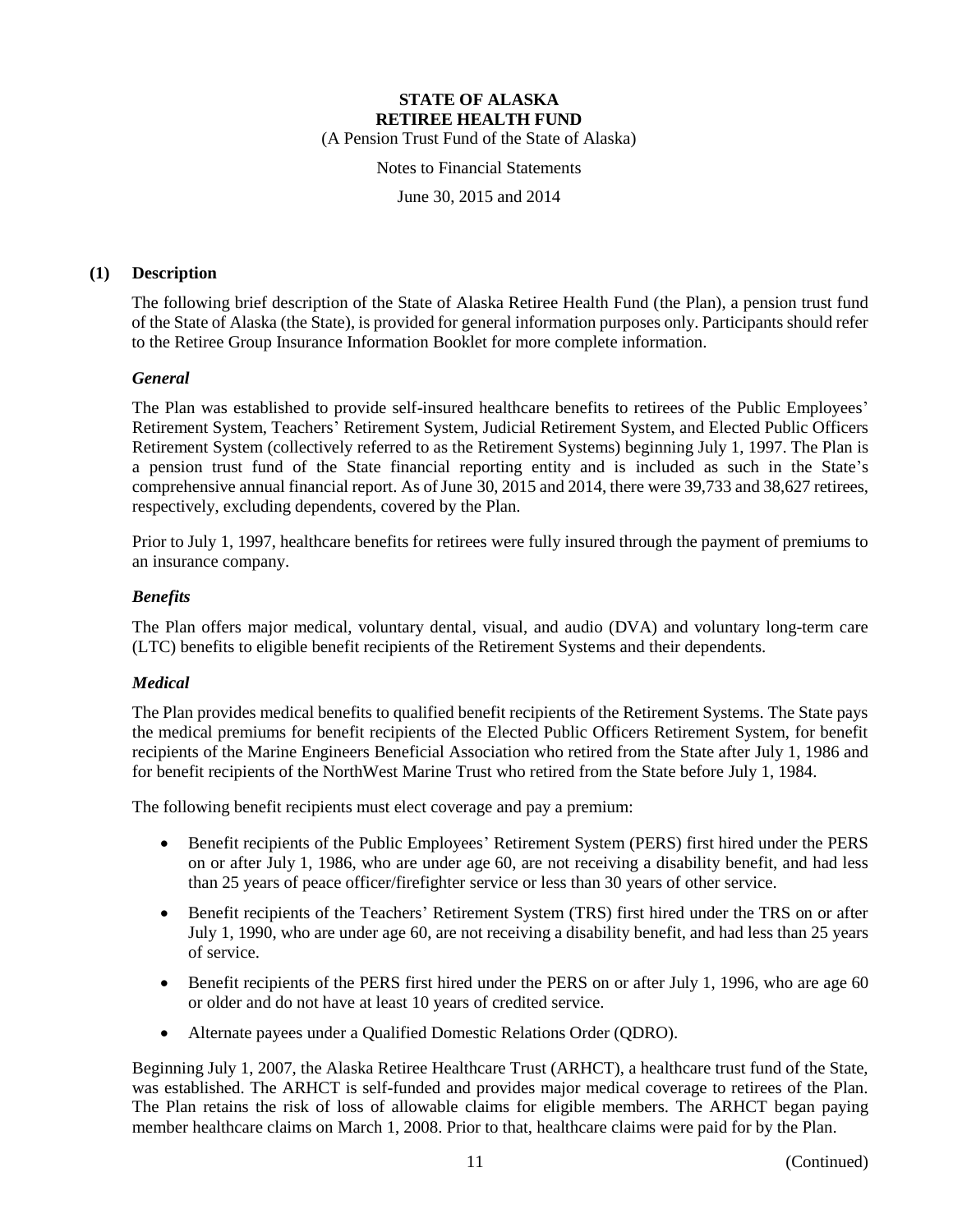(A Pension Trust Fund of the State of Alaska)

Notes to Financial Statements

June 30, 2015 and 2014

### **(1) Description**

The following brief description of the State of Alaska Retiree Health Fund (the Plan), a pension trust fund of the State of Alaska (the State), is provided for general information purposes only. Participants should refer to the Retiree Group Insurance Information Booklet for more complete information.

### *General*

The Plan was established to provide self-insured healthcare benefits to retirees of the Public Employees' Retirement System, Teachers' Retirement System, Judicial Retirement System, and Elected Public Officers Retirement System (collectively referred to as the Retirement Systems) beginning July 1, 1997. The Plan is a pension trust fund of the State financial reporting entity and is included as such in the State's comprehensive annual financial report. As of June 30, 2015 and 2014, there were 39,733 and 38,627 retirees, respectively, excluding dependents, covered by the Plan.

Prior to July 1, 1997, healthcare benefits for retirees were fully insured through the payment of premiums to an insurance company.

### *Benefits*

The Plan offers major medical, voluntary dental, visual, and audio (DVA) and voluntary long-term care (LTC) benefits to eligible benefit recipients of the Retirement Systems and their dependents.

### *Medical*

The Plan provides medical benefits to qualified benefit recipients of the Retirement Systems. The State pays the medical premiums for benefit recipients of the Elected Public Officers Retirement System, for benefit recipients of the Marine Engineers Beneficial Association who retired from the State after July 1, 1986 and for benefit recipients of the NorthWest Marine Trust who retired from the State before July 1, 1984.

The following benefit recipients must elect coverage and pay a premium:

- Benefit recipients of the Public Employees' Retirement System (PERS) first hired under the PERS on or after July 1, 1986, who are under age 60, are not receiving a disability benefit, and had less than 25 years of peace officer/firefighter service or less than 30 years of other service.
- Benefit recipients of the Teachers' Retirement System (TRS) first hired under the TRS on or after July 1, 1990, who are under age 60, are not receiving a disability benefit, and had less than 25 years of service.
- Benefit recipients of the PERS first hired under the PERS on or after July 1, 1996, who are age 60 or older and do not have at least 10 years of credited service.
- Alternate payees under a Qualified Domestic Relations Order (QDRO).

Beginning July 1, 2007, the Alaska Retiree Healthcare Trust (ARHCT), a healthcare trust fund of the State, was established. The ARHCT is self-funded and provides major medical coverage to retirees of the Plan. The Plan retains the risk of loss of allowable claims for eligible members. The ARHCT began paying member healthcare claims on March 1, 2008. Prior to that, healthcare claims were paid for by the Plan.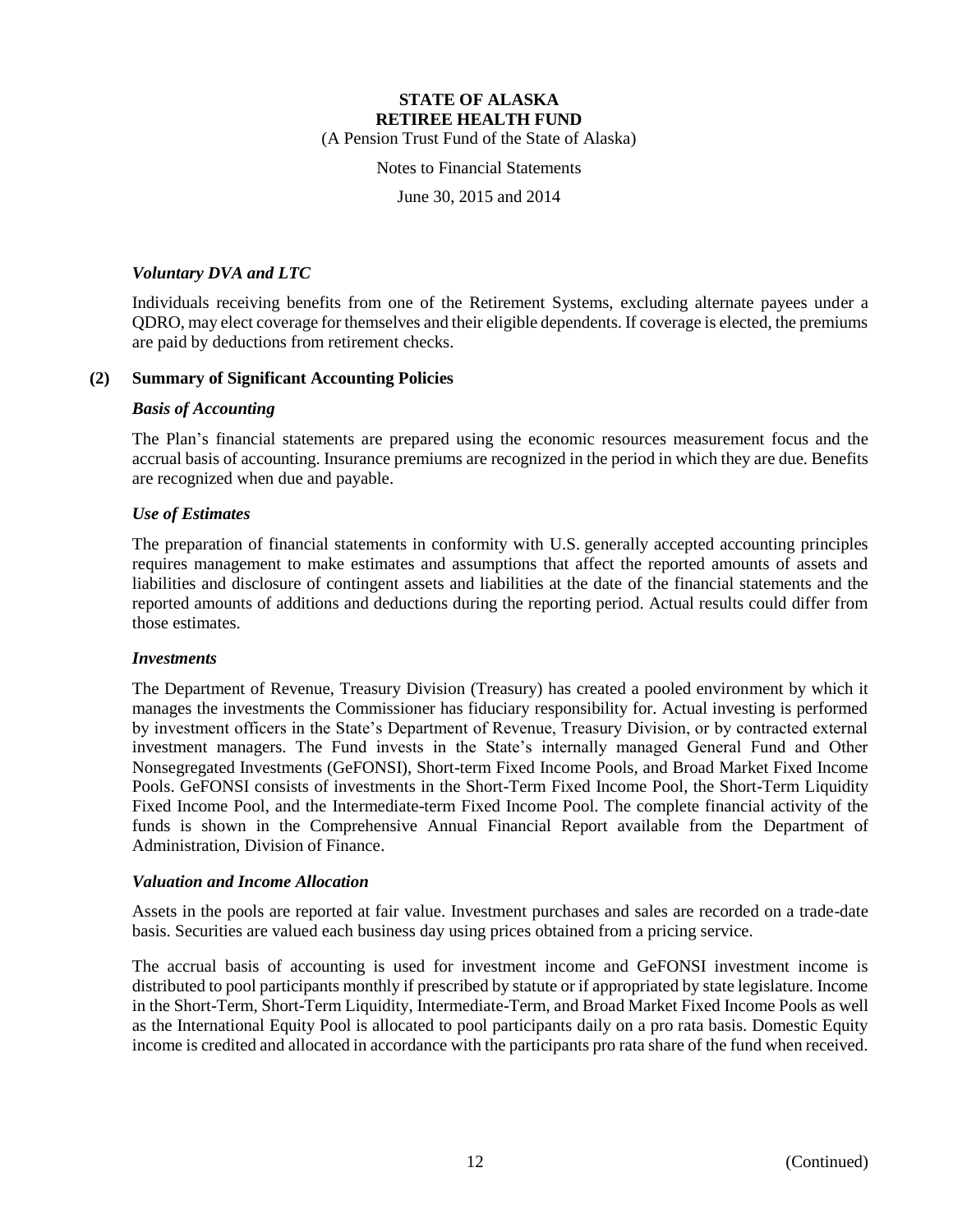(A Pension Trust Fund of the State of Alaska)

Notes to Financial Statements

June 30, 2015 and 2014

### *Voluntary DVA and LTC*

Individuals receiving benefits from one of the Retirement Systems, excluding alternate payees under a QDRO, may elect coverage for themselves and their eligible dependents. If coverage is elected, the premiums are paid by deductions from retirement checks.

### **(2) Summary of Significant Accounting Policies**

#### *Basis of Accounting*

The Plan's financial statements are prepared using the economic resources measurement focus and the accrual basis of accounting. Insurance premiums are recognized in the period in which they are due. Benefits are recognized when due and payable.

### *Use of Estimates*

The preparation of financial statements in conformity with U.S. generally accepted accounting principles requires management to make estimates and assumptions that affect the reported amounts of assets and liabilities and disclosure of contingent assets and liabilities at the date of the financial statements and the reported amounts of additions and deductions during the reporting period. Actual results could differ from those estimates.

#### *Investments*

The Department of Revenue, Treasury Division (Treasury) has created a pooled environment by which it manages the investments the Commissioner has fiduciary responsibility for. Actual investing is performed by investment officers in the State's Department of Revenue, Treasury Division, or by contracted external investment managers. The Fund invests in the State's internally managed General Fund and Other Nonsegregated Investments (GeFONSI), Short-term Fixed Income Pools, and Broad Market Fixed Income Pools. GeFONSI consists of investments in the Short-Term Fixed Income Pool, the Short-Term Liquidity Fixed Income Pool, and the Intermediate-term Fixed Income Pool. The complete financial activity of the funds is shown in the Comprehensive Annual Financial Report available from the Department of Administration, Division of Finance.

#### *Valuation and Income Allocation*

Assets in the pools are reported at fair value. Investment purchases and sales are recorded on a trade-date basis. Securities are valued each business day using prices obtained from a pricing service.

The accrual basis of accounting is used for investment income and GeFONSI investment income is distributed to pool participants monthly if prescribed by statute or if appropriated by state legislature. Income in the Short-Term, Short-Term Liquidity, Intermediate-Term, and Broad Market Fixed Income Pools as well as the International Equity Pool is allocated to pool participants daily on a pro rata basis. Domestic Equity income is credited and allocated in accordance with the participants pro rata share of the fund when received.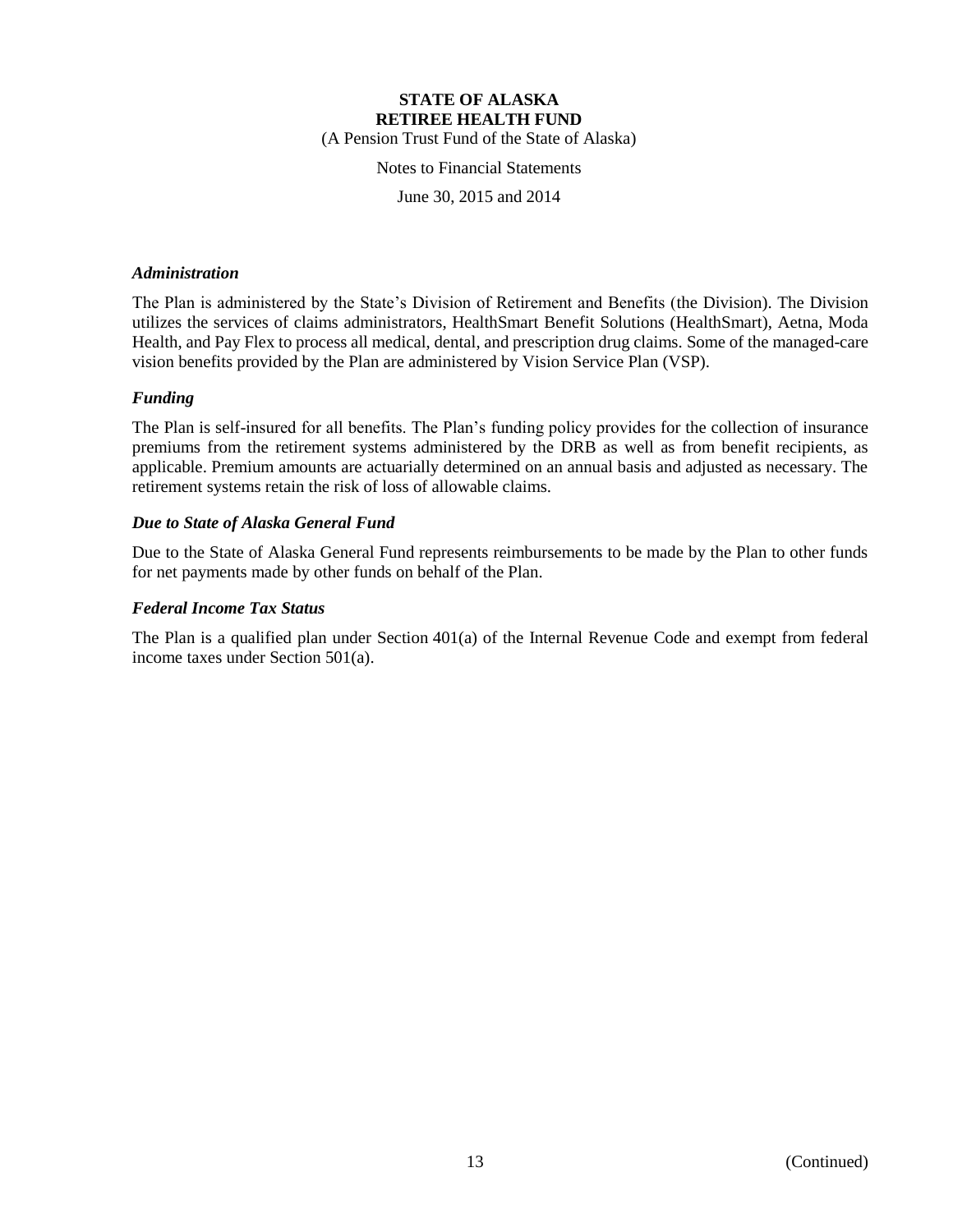(A Pension Trust Fund of the State of Alaska)

Notes to Financial Statements

June 30, 2015 and 2014

#### *Administration*

The Plan is administered by the State's Division of Retirement and Benefits (the Division). The Division utilizes the services of claims administrators, HealthSmart Benefit Solutions (HealthSmart), Aetna, Moda Health, and Pay Flex to process all medical, dental, and prescription drug claims. Some of the managed-care vision benefits provided by the Plan are administered by Vision Service Plan (VSP).

#### *Funding*

The Plan is self-insured for all benefits. The Plan's funding policy provides for the collection of insurance premiums from the retirement systems administered by the DRB as well as from benefit recipients, as applicable. Premium amounts are actuarially determined on an annual basis and adjusted as necessary. The retirement systems retain the risk of loss of allowable claims.

### *Due to State of Alaska General Fund*

Due to the State of Alaska General Fund represents reimbursements to be made by the Plan to other funds for net payments made by other funds on behalf of the Plan.

### *Federal Income Tax Status*

The Plan is a qualified plan under Section 401(a) of the Internal Revenue Code and exempt from federal income taxes under Section 501(a).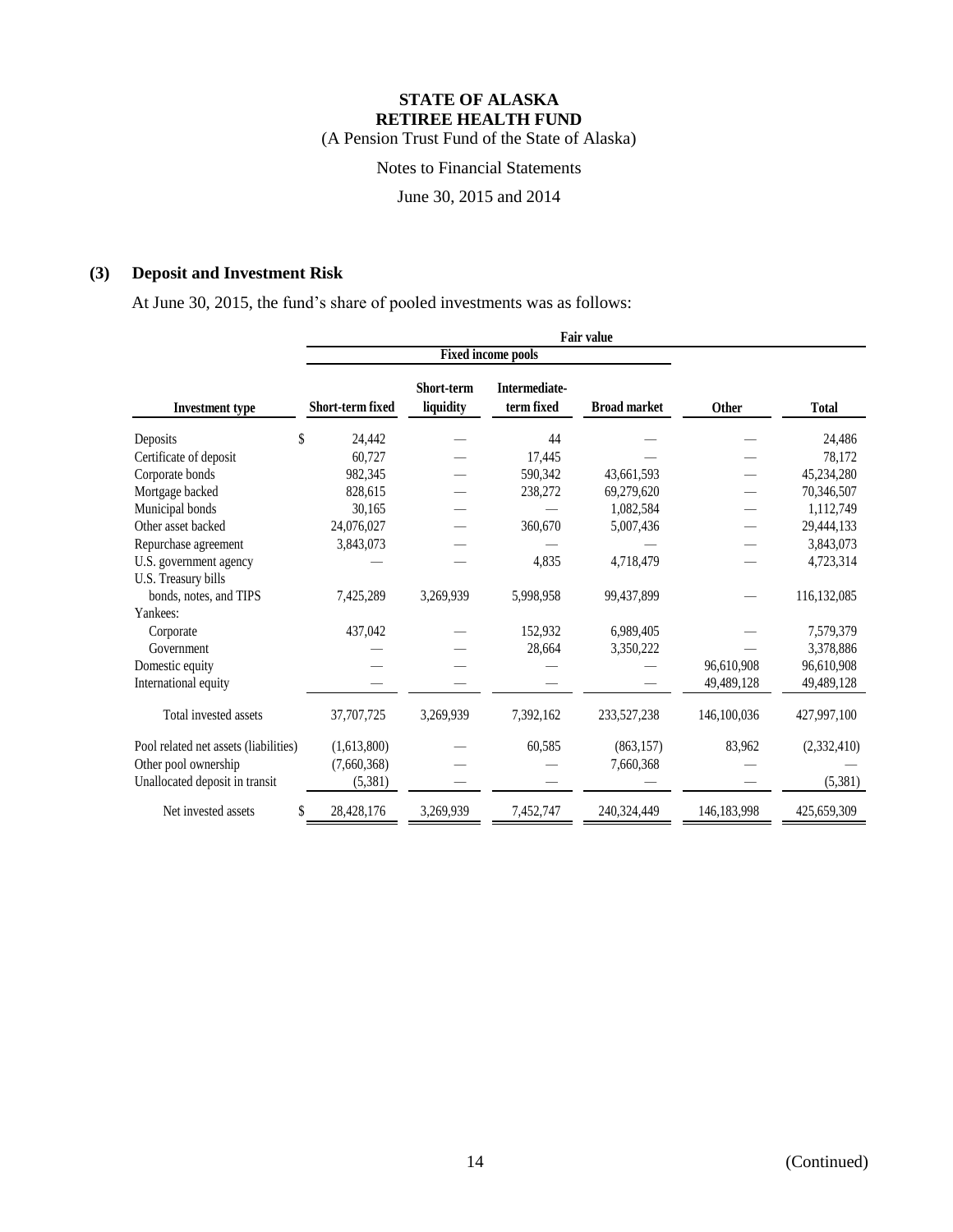(A Pension Trust Fund of the State of Alaska)

# Notes to Financial Statements

June 30, 2015 and 2014

# **(3) Deposit and Investment Risk**

At June 30, 2015, the fund's share of pooled investments was as follows:

|                                       |                  |                         |                                    | <b>Fair value</b>   |              |              |
|---------------------------------------|------------------|-------------------------|------------------------------------|---------------------|--------------|--------------|
|                                       |                  |                         | <b>Fixed income pools</b>          |                     |              |              |
| <b>Investment type</b>                | Short-term fixed | Short-term<br>liquidity | <b>Intermediate-</b><br>term fixed | <b>Broad market</b> | <b>Other</b> | <b>Total</b> |
| \$<br>Deposits                        | 24,442           |                         | 44                                 |                     |              | 24,486       |
| Certificate of deposit                | 60.727           |                         | 17,445                             |                     |              | 78,172       |
| Corporate bonds                       | 982,345          |                         | 590,342                            | 43,661,593          |              | 45,234,280   |
| Mortgage backed                       | 828,615          |                         | 238,272                            | 69,279,620          |              | 70,346,507   |
| Municipal bonds                       | 30,165           |                         |                                    | 1,082,584           |              | 1,112,749    |
| Other asset backed                    | 24,076,027       |                         | 360,670                            | 5,007,436           |              | 29,444,133   |
| Repurchase agreement                  | 3,843,073        |                         |                                    |                     |              | 3,843,073    |
| U.S. government agency                |                  |                         | 4,835                              | 4,718,479           |              | 4,723,314    |
| U.S. Treasury bills                   |                  |                         |                                    |                     |              |              |
| bonds, notes, and TIPS                | 7,425,289        | 3,269,939               | 5,998,958                          | 99,437,899          |              | 116,132,085  |
| Yankees:                              |                  |                         |                                    |                     |              |              |
| Corporate                             | 437,042          |                         | 152,932                            | 6,989,405           |              | 7,579,379    |
| Government                            |                  |                         | 28,664                             | 3,350,222           |              | 3,378,886    |
| Domestic equity                       |                  |                         |                                    |                     | 96,610,908   | 96,610,908   |
| International equity                  |                  |                         |                                    |                     | 49,489,128   | 49,489,128   |
| Total invested assets                 | 37,707,725       | 3,269,939               | 7,392,162                          | 233,527,238         | 146,100,036  | 427,997,100  |
| Pool related net assets (liabilities) | (1,613,800)      |                         | 60,585                             | (863, 157)          | 83,962       | (2,332,410)  |
| Other pool ownership                  | (7,660,368)      |                         |                                    | 7,660,368           |              |              |
| Unallocated deposit in transit        | (5,381)          |                         |                                    |                     |              | (5,381)      |
| Net invested assets                   | 28,428,176       | 3,269,939               | 7,452,747                          | 240,324,449         | 146,183,998  | 425,659,309  |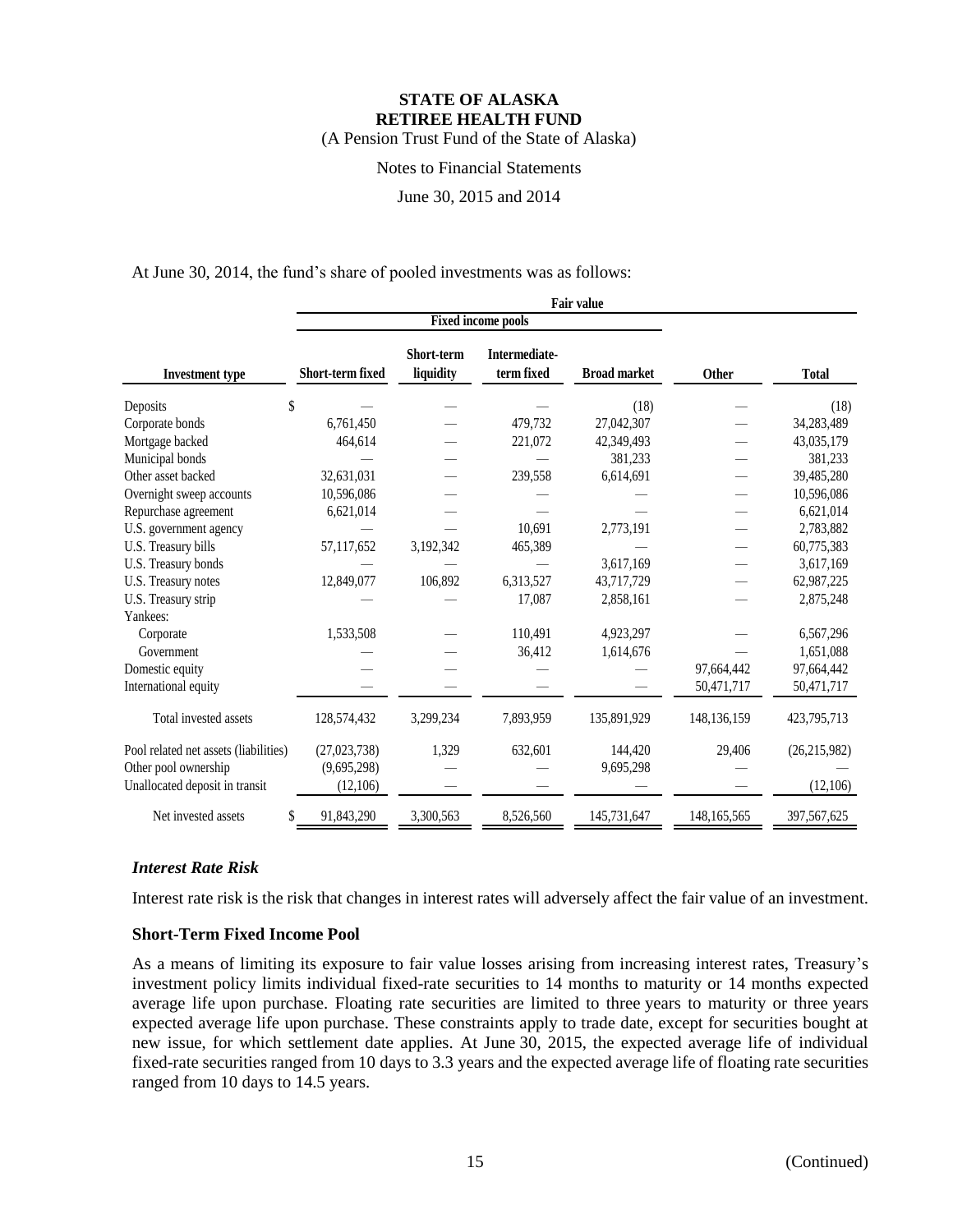(A Pension Trust Fund of the State of Alaska)

Notes to Financial Statements

June 30, 2015 and 2014

At June 30, 2014, the fund's share of pooled investments was as follows:

|                                                        |                          |                         |                             | <b>Fair value</b>   |               |                |
|--------------------------------------------------------|--------------------------|-------------------------|-----------------------------|---------------------|---------------|----------------|
|                                                        |                          |                         | <b>Fixed income pools</b>   |                     |               |                |
| <b>Investment type</b>                                 | Short-term fixed         | Short-term<br>liquidity | Intermediate-<br>term fixed | <b>Broad market</b> | <b>Other</b>  | <b>Total</b>   |
| \$<br>Deposits                                         |                          |                         |                             | (18)                |               | (18)           |
| Corporate bonds                                        | 6,761,450                |                         | 479.732                     | 27,042,307          |               | 34,283,489     |
| Mortgage backed                                        | 464,614                  |                         | 221,072                     | 42,349,493          |               | 43,035,179     |
| Municipal bonds                                        |                          |                         |                             | 381,233             |               | 381,233        |
| Other asset backed                                     | 32,631,031               |                         | 239,558                     | 6,614,691           |               | 39,485,280     |
| Overnight sweep accounts                               | 10,596,086               |                         |                             |                     |               | 10,596,086     |
| Repurchase agreement                                   | 6,621,014                |                         |                             |                     |               | 6,621,014      |
| U.S. government agency                                 |                          |                         | 10.691                      | 2,773,191           |               | 2,783,882      |
| U.S. Treasury bills                                    | 57,117,652               | 3,192,342               | 465,389                     |                     |               | 60,775,383     |
| U.S. Treasury bonds                                    |                          |                         |                             | 3.617.169           |               | 3,617,169      |
| U.S. Treasury notes                                    | 12,849,077               | 106,892                 | 6,313,527                   | 43,717,729          |               | 62,987,225     |
| U.S. Treasury strip                                    |                          |                         | 17,087                      | 2,858,161           |               | 2,875,248      |
| Yankees:                                               |                          |                         |                             |                     |               |                |
| Corporate                                              | 1,533,508                |                         | 110,491                     | 4,923,297           |               | 6,567,296      |
| Government                                             |                          |                         | 36,412                      | 1,614,676           |               | 1,651,088      |
| Domestic equity                                        |                          |                         |                             |                     | 97,664,442    | 97,664,442     |
| International equity                                   |                          |                         |                             |                     | 50,471,717    | 50,471,717     |
| Total invested assets                                  | 128,574,432              | 3,299,234               | 7,893,959                   | 135,891,929         | 148, 136, 159 | 423,795,713    |
| Pool related net assets (liabilities)                  | (27,023,738)             | 1,329                   | 632,601                     | 144,420             | 29,406        | (26, 215, 982) |
| Other pool ownership<br>Unallocated deposit in transit | (9,695,298)<br>(12, 106) |                         |                             | 9,695,298           |               | (12,106)       |
|                                                        |                          |                         |                             |                     |               |                |
| Net invested assets<br>\$                              | 91,843,290               | 3,300,563               | 8,526,560                   | 145,731,647         | 148, 165, 565 | 397,567,625    |

### *Interest Rate Risk*

Interest rate risk is the risk that changes in interest rates will adversely affect the fair value of an investment.

#### **Short-Term Fixed Income Pool**

As a means of limiting its exposure to fair value losses arising from increasing interest rates, Treasury's investment policy limits individual fixed-rate securities to 14 months to maturity or 14 months expected average life upon purchase. Floating rate securities are limited to three years to maturity or three years expected average life upon purchase. These constraints apply to trade date, except for securities bought at new issue, for which settlement date applies. At June 30, 2015, the expected average life of individual fixed-rate securities ranged from 10 days to 3.3 years and the expected average life of floating rate securities ranged from 10 days to 14.5 years.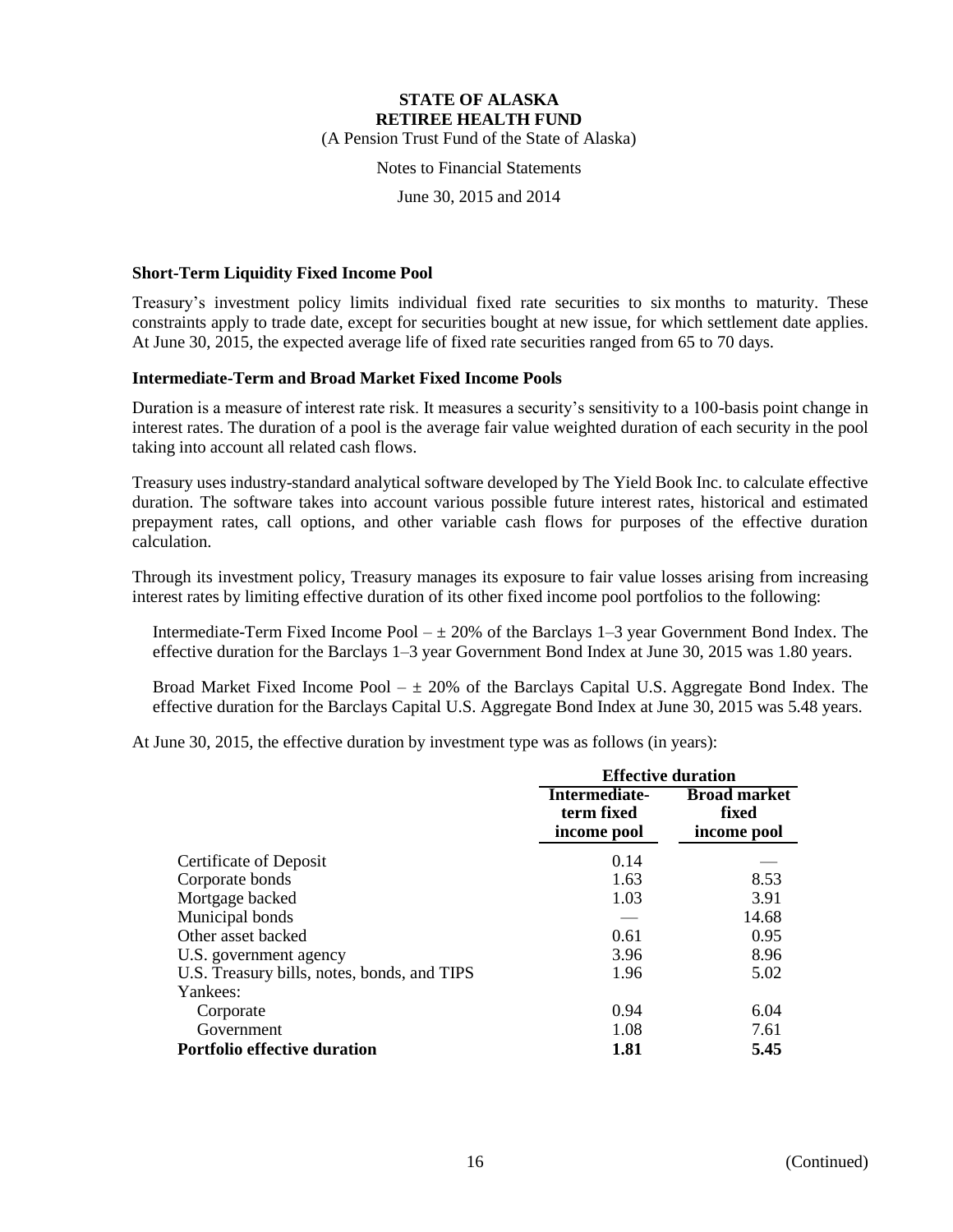(A Pension Trust Fund of the State of Alaska)

Notes to Financial Statements

June 30, 2015 and 2014

#### **Short-Term Liquidity Fixed Income Pool**

Treasury's investment policy limits individual fixed rate securities to six months to maturity. These constraints apply to trade date, except for securities bought at new issue, for which settlement date applies. At June 30, 2015, the expected average life of fixed rate securities ranged from 65 to 70 days.

#### **Intermediate-Term and Broad Market Fixed Income Pools**

Duration is a measure of interest rate risk. It measures a security's sensitivity to a 100-basis point change in interest rates. The duration of a pool is the average fair value weighted duration of each security in the pool taking into account all related cash flows.

Treasury uses industry-standard analytical software developed by The Yield Book Inc. to calculate effective duration. The software takes into account various possible future interest rates, historical and estimated prepayment rates, call options, and other variable cash flows for purposes of the effective duration calculation.

Through its investment policy, Treasury manages its exposure to fair value losses arising from increasing interest rates by limiting effective duration of its other fixed income pool portfolios to the following:

Intermediate-Term Fixed Income Pool  $- \pm 20\%$  of the Barclays 1–3 year Government Bond Index. The effective duration for the Barclays 1–3 year Government Bond Index at June 30, 2015 was 1.80 years.

Broad Market Fixed Income Pool  $-\pm 20\%$  of the Barclays Capital U.S. Aggregate Bond Index. The effective duration for the Barclays Capital U.S. Aggregate Bond Index at June 30, 2015 was 5.48 years.

At June 30, 2015, the effective duration by investment type was as follows (in years):

|                                             | <b>Effective duration</b>                  |                                             |  |
|---------------------------------------------|--------------------------------------------|---------------------------------------------|--|
|                                             | Intermediate-<br>term fixed<br>income pool | <b>Broad market</b><br>fixed<br>income pool |  |
| Certificate of Deposit                      | 0.14                                       |                                             |  |
| Corporate bonds                             | 1.63                                       | 8.53                                        |  |
| Mortgage backed                             | 1.03                                       | 3.91                                        |  |
| Municipal bonds                             |                                            | 14.68                                       |  |
| Other asset backed                          | 0.61                                       | 0.95                                        |  |
| U.S. government agency                      | 3.96                                       | 8.96                                        |  |
| U.S. Treasury bills, notes, bonds, and TIPS | 1.96                                       | 5.02                                        |  |
| Yankees:                                    |                                            |                                             |  |
| Corporate                                   | 0.94                                       | 6.04                                        |  |
| Government                                  | 1.08                                       | 7.61                                        |  |
| <b>Portfolio effective duration</b>         | 1.81                                       | 5.45                                        |  |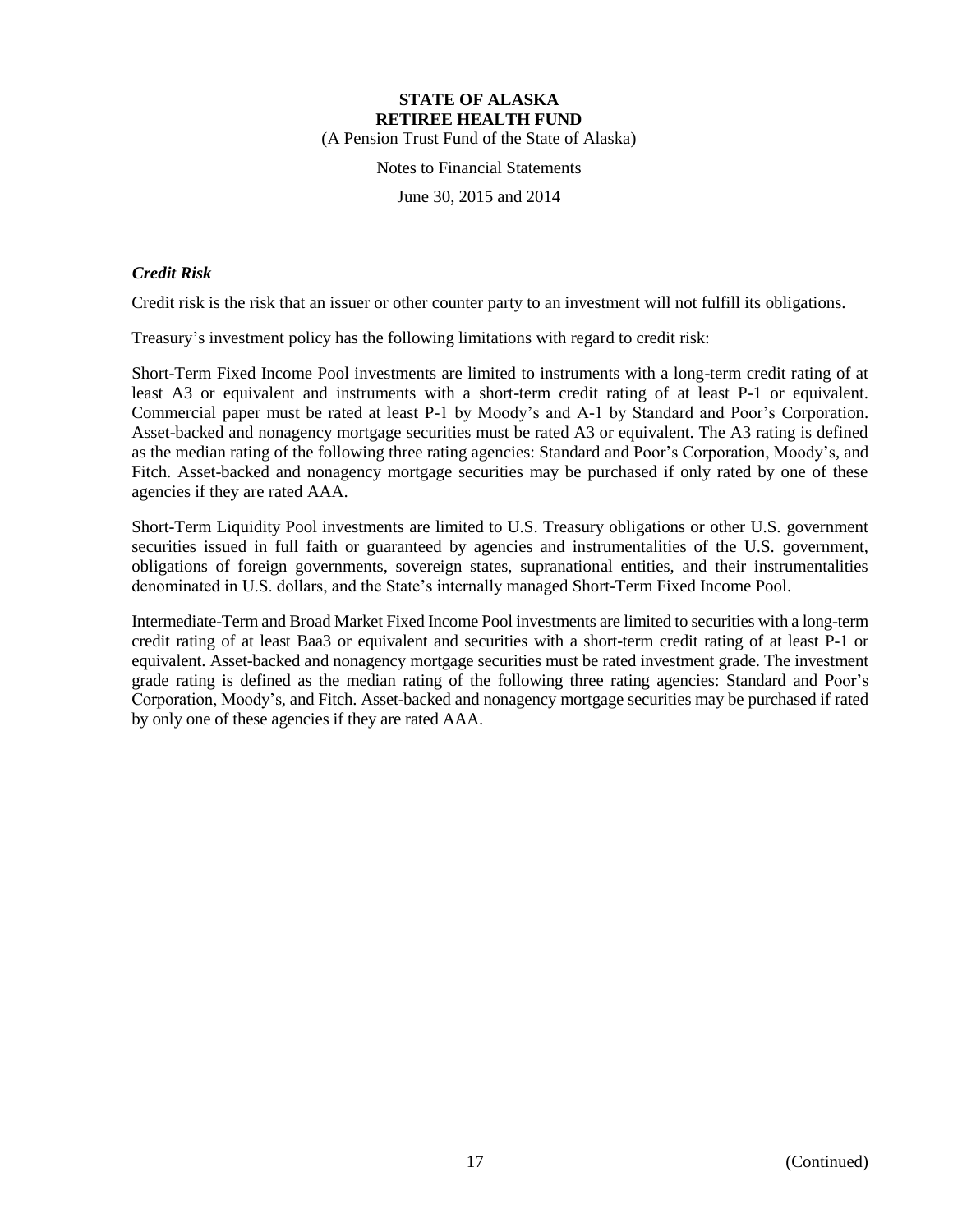(A Pension Trust Fund of the State of Alaska)

Notes to Financial Statements

June 30, 2015 and 2014

### *Credit Risk*

Credit risk is the risk that an issuer or other counter party to an investment will not fulfill its obligations.

Treasury's investment policy has the following limitations with regard to credit risk:

Short-Term Fixed Income Pool investments are limited to instruments with a long-term credit rating of at least A3 or equivalent and instruments with a short-term credit rating of at least P-1 or equivalent. Commercial paper must be rated at least P-1 by Moody's and A-1 by Standard and Poor's Corporation. Asset-backed and nonagency mortgage securities must be rated A3 or equivalent. The A3 rating is defined as the median rating of the following three rating agencies: Standard and Poor's Corporation, Moody's, and Fitch. Asset-backed and nonagency mortgage securities may be purchased if only rated by one of these agencies if they are rated AAA.

Short-Term Liquidity Pool investments are limited to U.S. Treasury obligations or other U.S. government securities issued in full faith or guaranteed by agencies and instrumentalities of the U.S. government, obligations of foreign governments, sovereign states, supranational entities, and their instrumentalities denominated in U.S. dollars, and the State's internally managed Short-Term Fixed Income Pool.

Intermediate-Term and Broad Market Fixed Income Pool investments are limited to securities with a long-term credit rating of at least Baa3 or equivalent and securities with a short-term credit rating of at least P-1 or equivalent. Asset-backed and nonagency mortgage securities must be rated investment grade. The investment grade rating is defined as the median rating of the following three rating agencies: Standard and Poor's Corporation, Moody's, and Fitch. Asset-backed and nonagency mortgage securities may be purchased if rated by only one of these agencies if they are rated AAA.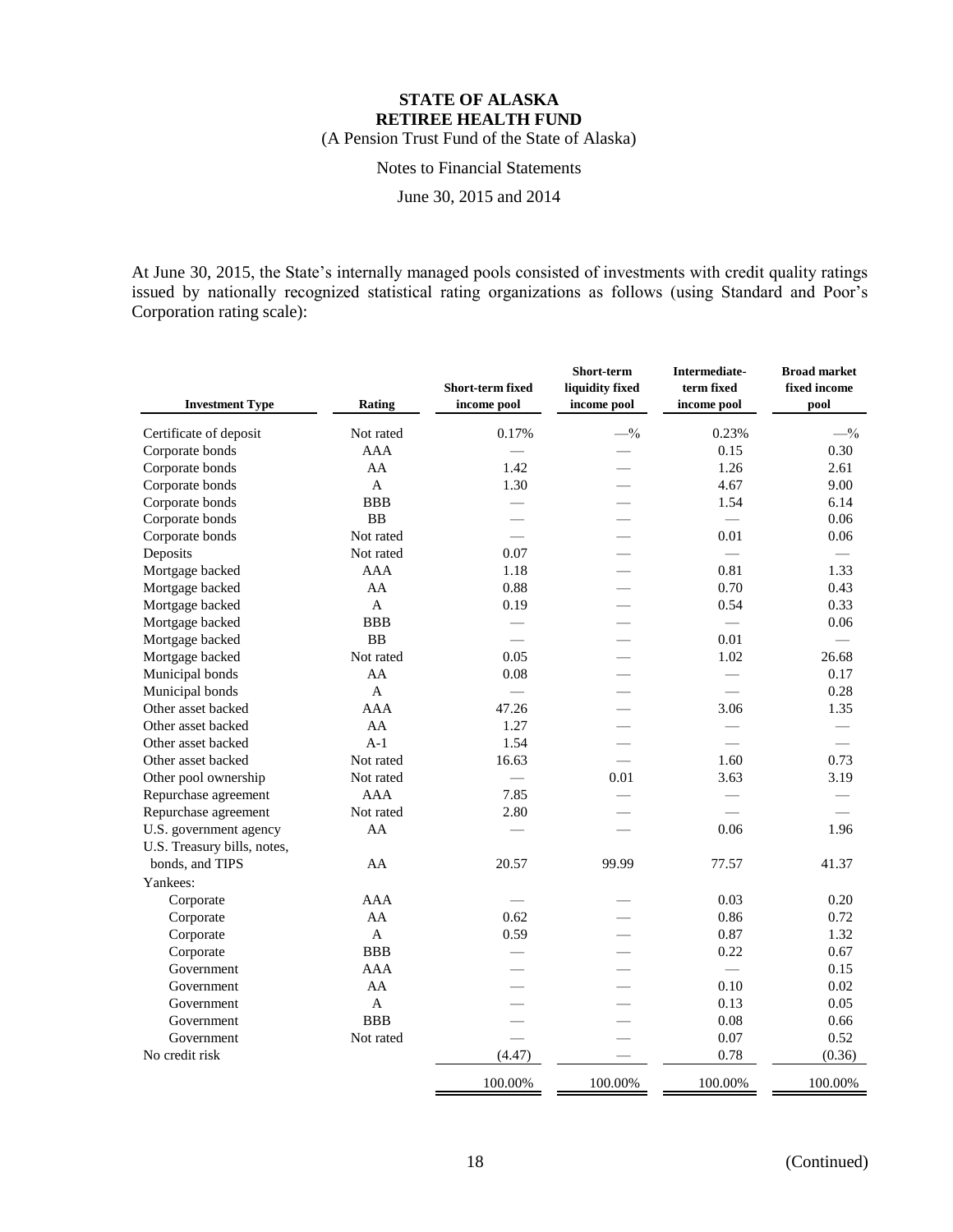(A Pension Trust Fund of the State of Alaska)

#### Notes to Financial Statements

June 30, 2015 and 2014

At June 30, 2015, the State's internally managed pools consisted of investments with credit quality ratings issued by nationally recognized statistical rating organizations as follows (using Standard and Poor's Corporation rating scale):

| <b>Investment Type</b>      | Rating       | Short-term fixed<br>income pool | Short-term<br>liquidity fixed<br>income pool | Intermediate-<br>term fixed<br>income pool | <b>Broad market</b><br>fixed income<br>pool |
|-----------------------------|--------------|---------------------------------|----------------------------------------------|--------------------------------------------|---------------------------------------------|
| Certificate of deposit      | Not rated    | 0.17%                           | $-$ %                                        | 0.23%                                      | $-$ %                                       |
| Corporate bonds             | AAA          |                                 |                                              | 0.15                                       | 0.30                                        |
| Corporate bonds             | AA           | 1.42                            |                                              | 1.26                                       | 2.61                                        |
| Corporate bonds             | A            | 1.30                            |                                              | 4.67                                       | 9.00                                        |
| Corporate bonds             | <b>BBB</b>   |                                 |                                              | 1.54                                       | 6.14                                        |
| Corporate bonds             | <b>BB</b>    |                                 |                                              |                                            | 0.06                                        |
| Corporate bonds             | Not rated    |                                 |                                              | 0.01                                       | 0.06                                        |
| Deposits                    | Not rated    | 0.07                            |                                              |                                            |                                             |
| Mortgage backed             | <b>AAA</b>   | 1.18                            |                                              | 0.81                                       | 1.33                                        |
| Mortgage backed             | AA           | 0.88                            |                                              | 0.70                                       | 0.43                                        |
| Mortgage backed             | $\mathbf{A}$ | 0.19                            |                                              | 0.54                                       | 0.33                                        |
| Mortgage backed             | <b>BBB</b>   |                                 |                                              | $\overline{\phantom{0}}$                   | 0.06                                        |
| Mortgage backed             | <b>BB</b>    |                                 |                                              | 0.01                                       |                                             |
| Mortgage backed             | Not rated    | 0.05                            |                                              | 1.02                                       | 26.68                                       |
| Municipal bonds             | AA           | 0.08                            |                                              |                                            | 0.17                                        |
| Municipal bonds             | A            |                                 |                                              | $\overline{\phantom{a}}$                   | 0.28                                        |
| Other asset backed          | AAA          | 47.26                           |                                              | 3.06                                       | 1.35                                        |
| Other asset backed          | AA           | 1.27                            |                                              |                                            |                                             |
| Other asset backed          | $A-1$        | 1.54                            |                                              |                                            |                                             |
| Other asset backed          | Not rated    | 16.63                           |                                              | 1.60                                       | 0.73                                        |
| Other pool ownership        | Not rated    | $\overline{\phantom{0}}$        | 0.01                                         | 3.63                                       | 3.19                                        |
| Repurchase agreement        | AAA          | 7.85                            |                                              |                                            |                                             |
| Repurchase agreement        | Not rated    | 2.80                            |                                              |                                            |                                             |
| U.S. government agency      | AA           |                                 |                                              | 0.06                                       | 1.96                                        |
| U.S. Treasury bills, notes, |              |                                 |                                              |                                            |                                             |
| bonds, and TIPS             | AA           | 20.57                           | 99.99                                        | 77.57                                      | 41.37                                       |
| Yankees:                    |              |                                 |                                              |                                            |                                             |
| Corporate                   | <b>AAA</b>   |                                 |                                              | 0.03                                       | 0.20                                        |
| Corporate                   | AA           | 0.62                            |                                              | 0.86                                       | 0.72                                        |
| Corporate                   | $\mathbf{A}$ | 0.59                            |                                              | 0.87                                       | 1.32                                        |
| Corporate                   | <b>BBB</b>   |                                 |                                              | 0.22                                       | 0.67                                        |
| Government                  | <b>AAA</b>   |                                 |                                              |                                            | 0.15                                        |
| Government                  | AA           |                                 |                                              | 0.10                                       | 0.02                                        |
| Government                  | $\mathbf{A}$ |                                 |                                              | 0.13                                       | 0.05                                        |
| Government                  | <b>BBB</b>   |                                 |                                              | 0.08                                       | 0.66                                        |
| Government                  | Not rated    |                                 |                                              | 0.07                                       | 0.52                                        |
| No credit risk              |              | (4.47)                          |                                              | 0.78                                       | (0.36)                                      |
|                             |              | 100.00%                         | 100.00%                                      | 100.00%                                    | 100.00%                                     |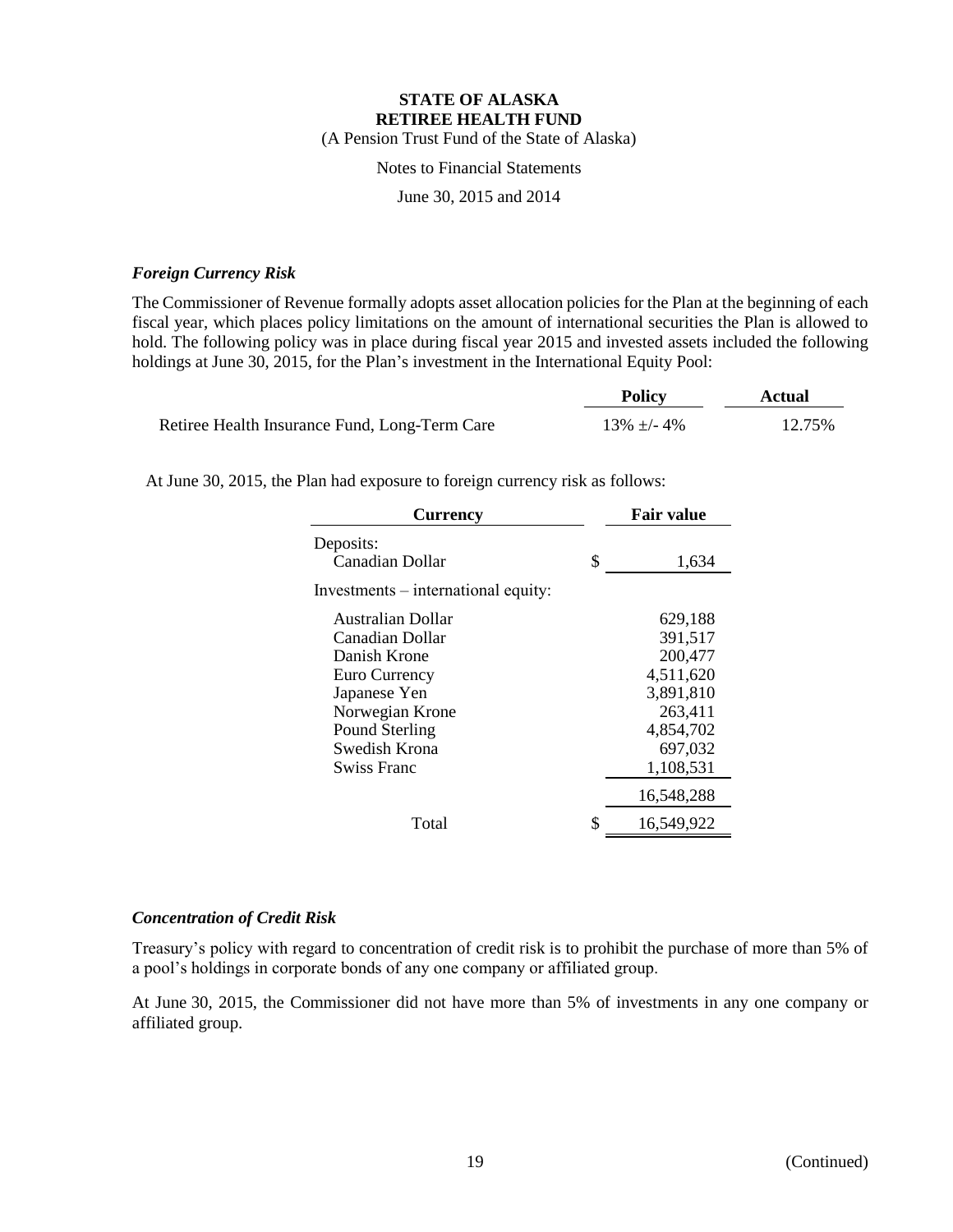(A Pension Trust Fund of the State of Alaska)

#### Notes to Financial Statements

### June 30, 2015 and 2014

#### *Foreign Currency Risk*

The Commissioner of Revenue formally adopts asset allocation policies for the Plan at the beginning of each fiscal year, which places policy limitations on the amount of international securities the Plan is allowed to hold. The following policy was in place during fiscal year 2015 and invested assets included the following holdings at June 30, 2015, for the Plan's investment in the International Equity Pool:

|                                               | <b>Policy</b>     | Actual |
|-----------------------------------------------|-------------------|--------|
| Retiree Health Insurance Fund, Long-Term Care | $13\%$ $\pm/-$ 4% | 12.75% |

At June 30, 2015, the Plan had exposure to foreign currency risk as follows:

| <b>Currency</b>                     |    | <b>Fair value</b> |
|-------------------------------------|----|-------------------|
| Deposits:                           |    |                   |
| Canadian Dollar                     | \$ | 1,634             |
| Investments – international equity: |    |                   |
| Australian Dollar                   |    | 629,188           |
| Canadian Dollar                     |    | 391,517           |
| Danish Krone                        |    | 200,477           |
| Euro Currency                       |    | 4,511,620         |
| Japanese Yen                        |    | 3,891,810         |
| Norwegian Krone                     |    | 263,411           |
| Pound Sterling                      |    | 4,854,702         |
| Swedish Krona                       |    | 697,032           |
| Swiss Franc                         |    | 1,108,531         |
|                                     |    | 16,548,288        |
| Total                               | \$ | 16,549,922        |

#### *Concentration of Credit Risk*

Treasury's policy with regard to concentration of credit risk is to prohibit the purchase of more than 5% of a pool's holdings in corporate bonds of any one company or affiliated group.

At June 30, 2015, the Commissioner did not have more than 5% of investments in any one company or affiliated group.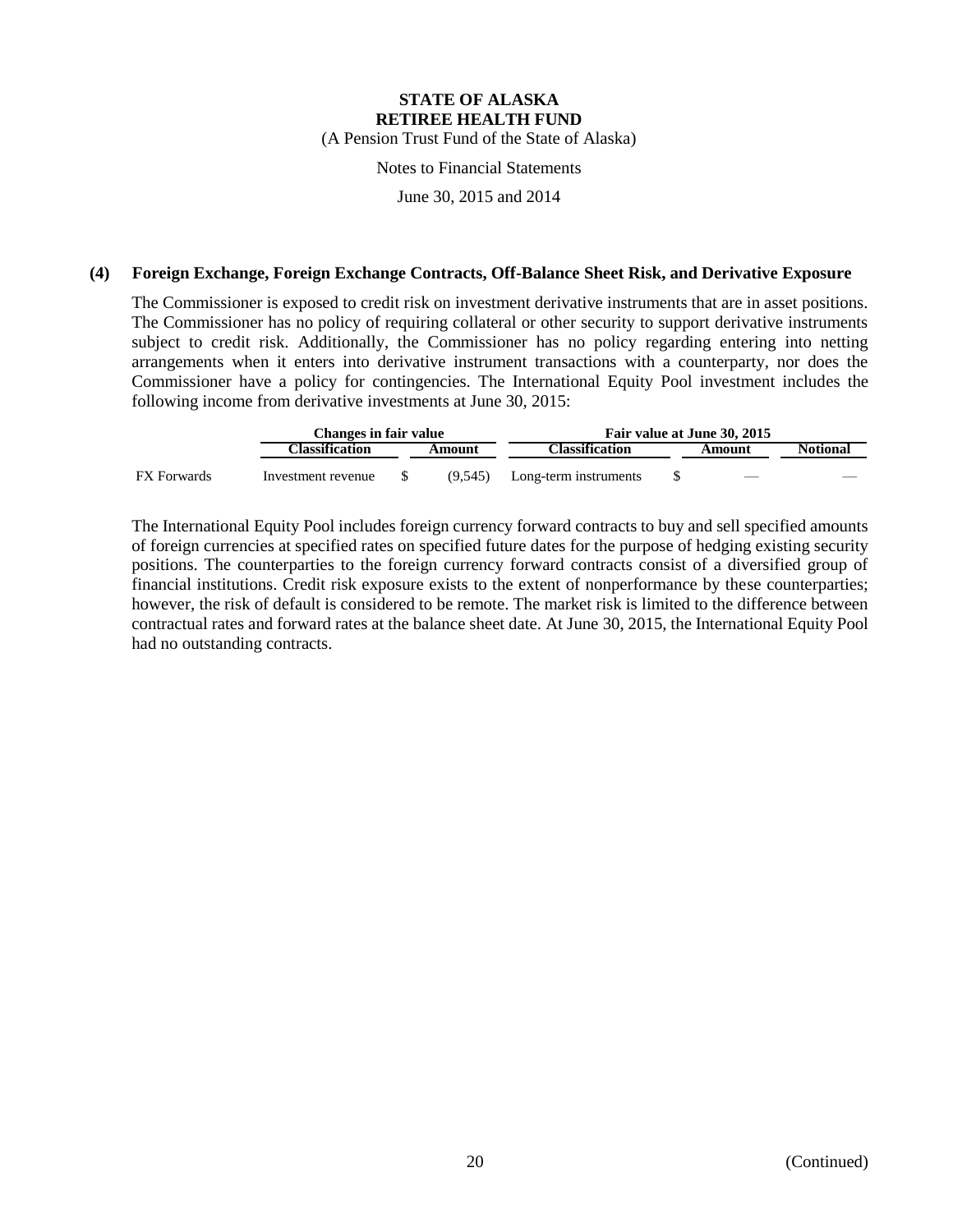(A Pension Trust Fund of the State of Alaska)

Notes to Financial Statements

June 30, 2015 and 2014

### **(4) Foreign Exchange, Foreign Exchange Contracts, Off-Balance Sheet Risk, and Derivative Exposure**

The Commissioner is exposed to credit risk on investment derivative instruments that are in asset positions. The Commissioner has no policy of requiring collateral or other security to support derivative instruments subject to credit risk. Additionally, the Commissioner has no policy regarding entering into netting arrangements when it enters into derivative instrument transactions with a counterparty, nor does the Commissioner have a policy for contingencies. The International Equity Pool investment includes the following income from derivative investments at June 30, 2015:

|             | Changes in fair value |  |         | Fair value at June 30, 2015 |  |        |                 |
|-------------|-----------------------|--|---------|-----------------------------|--|--------|-----------------|
|             | Classification        |  | Amount  | Classification              |  | Amount | <b>Notional</b> |
| FX Forwards | Investment revenue    |  | (9.545) | Long-term instruments       |  |        |                 |

The International Equity Pool includes foreign currency forward contracts to buy and sell specified amounts of foreign currencies at specified rates on specified future dates for the purpose of hedging existing security positions. The counterparties to the foreign currency forward contracts consist of a diversified group of financial institutions. Credit risk exposure exists to the extent of nonperformance by these counterparties; however, the risk of default is considered to be remote. The market risk is limited to the difference between contractual rates and forward rates at the balance sheet date. At June 30, 2015, the International Equity Pool had no outstanding contracts.